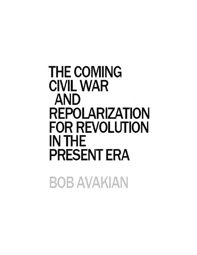# **THE COMING CIVIL WAR AND REPOLARIZATION FOR REVOLUTION IN THE PRESENT ERA**

BOB AVAKIAN

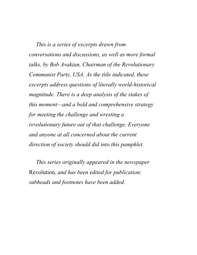*This is a series of excerpts drawn from conversations and discussions, as well as more formal talks, by Bob Avakian, Chairman of the Revolutionary Communist Party, USA. As the title indicated, these excerpts address questions of literally world-historical magnitude. There is a deep analysis of the stakes of this moment—and a bold and comprehensive strategy for meeting the challenge and wresting a revolutionary future out of that challenge. Everyone and anyone at all concerned about the current direction of society should did into this pamphlet.*

*This series originally appeared in the newspaper* Revolution*, and has been edited for publication; subheads and footnotes have been added.*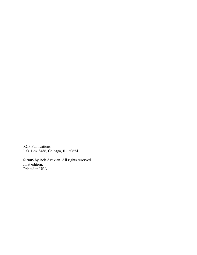RCP Publications P.O. Box 3486, Chicago, IL 60654

©2005 by Bob Avakian. All rights reserved First edition. Printed in USA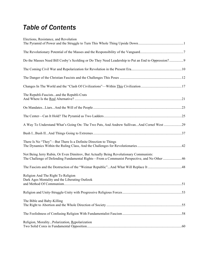## *Table of Contents*

| Elections, Resistance, and Revolution                                                                                                                                                |  |
|--------------------------------------------------------------------------------------------------------------------------------------------------------------------------------------|--|
|                                                                                                                                                                                      |  |
| Do the Masses Need Bill Cosby's Scolding or Do They Need Leadership to Put an End to Oppression?9                                                                                    |  |
|                                                                                                                                                                                      |  |
|                                                                                                                                                                                      |  |
|                                                                                                                                                                                      |  |
| The Republi-Fascistsand the Republi-Crats                                                                                                                                            |  |
|                                                                                                                                                                                      |  |
|                                                                                                                                                                                      |  |
| A Way To Understand What's Going On: The Two Pats, And Andrew SullivanAnd Cornel West 29                                                                                             |  |
|                                                                                                                                                                                      |  |
| There Is No "They"—But There Is a Definite Direction to Things                                                                                                                       |  |
| Not Being Jerry Rubin, Or Even Dimitrov, But Actually Being Revolutionary Communists:<br>The Challenge of Defending Fundamental Rights-From a Communist Perspective, and No Other 46 |  |
|                                                                                                                                                                                      |  |
| Religion And The Right To Religion<br>Dark Ages Mentality and the Liberating Outlook                                                                                                 |  |
|                                                                                                                                                                                      |  |
| The Bible and Baby-Killing                                                                                                                                                           |  |
|                                                                                                                                                                                      |  |
| Religion, MoralityPolarization, Repolarization                                                                                                                                       |  |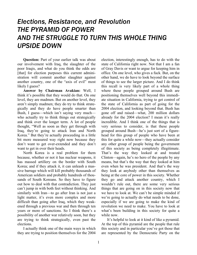## *Elections, Resistance, and Revolution THE PYRAMID OF POWER AND THE STRUGGLE TO TURN THIS WHOLE THING UPSIDE DOWN*

**Question:** Part of your earlier talk was about our involvement with Iraq, the slaughter of the poor Iraqis, and what do you think the odds are [that] for election purposes this current administration will commit another slaughter against another country, one of the "axis of evil" most likely I guess?

**Answer by Chairman Avakian:** Well, I think it's possible that they would do that. On one level, they are madmen. But on another level, they aren't simply madmen; they do try to think strategically and they do have people smarter than Bush, I guess—which isn't saying very much who actually try to think things out strategically and think over the longer term. A lot of people thought, "Well as soon as they get through with Iraq, they're going to attack Iran and North Korea." But they're actually proceeding in a little bit more measured way right now because they don't want to get over-extended and they don't want to get in over their heads.

North Korea is a real problem for them because, whether or not it has nuclear weapons, it has massed artillery on the border with South Korea; and if they attack it, it can unleash a massive barrage which will kill probably thousands of American soldiers and probably hundreds of thousands of South Koreans. So they have to figure out how to deal with that contradiction. They just can't jump in with both feet without thinking. And similarly with Iran—to go after Iran is not just a light matter, it's even more complex and more difficult than going after Iraq, which they weakened through a previous war and then through ten years or more of sanctions. So I think there's a possibility of another war relatively soon, but they are trying to think strategically, even past the elections.

I actually think one of the main ways in which they are trying to position themselves for the 2004

election, interestingly enough, has to do with the state of California right now. Not that I am a fan of Gray Davis or want to argue for keeping him in office. On one level, who gives a fuck. But, on the other hand, we do have to look beyond the surface of things to see the larger picture. And I do think this recall is very likely part of a whole thing where these people grouped around Bush are positioning themselves well beyond this immediate situation in California, trying to get control of the state of California as part of going for the 2004 election, and looking beyond that. Bush has gone off and raised—what, 200 million dollars already for the 2004 election? I mean it's really incredible. And I think one of the things that is very serious to consider, is that these people grouped around Bush—he's just sort of a figurehead for this group of people who have been at this for quite a while now—they actually consider any other group of people being the government of this society as being completely illegitimate. That's the way they looked at and treated Clinton—again, he's no hero of the people by any means, but that's the way that they looked at him even when he was president. And that's the way they look at anybody other than themselves as being at the core of power in this society. Whether they go and attack another country, which I wouldn't rule out, there are some very serious things that are going on in this society now that we have to look at. We can't be simple minded if we're going to actually do what needs to be done, especially if we are going to make the kind of revolution we need to make. You have to look at what's been building in this society for quite a while now.

It's helpful to look at it kind of like a pyramid. At the top of this pyramid are the people that rule this society and in particular you've got those that are represented by the Democratic Party on the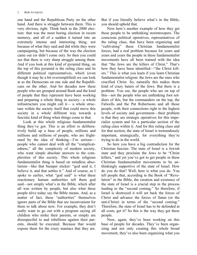one hand and the Republican Party on the other hand. And there is struggle between them. This is very obvious, right. Think back to the 2000 election: that was the most boring election in recent memory, and all of a sudden it turned into an extremely intense and interesting thing, not because of what they said and did while they were campaigning, but because of the way the election came out (or didn't come out). So then you could see that there is very sharp struggle among them. And if you look at this kind of pyramid thing, on the top of this pyramid is the ruling class and its different political representatives, which (even though it may be a bit oversimplified) we can look at as the Democrats on one side and the Republicans on the other. And for decades now these people who are grouped around Bush and the kind of people that they represent have been working and preparing a whole thing in society—a whole infrastructure you might call it— a whole structure within the society itself that could move this society in a whole different way towards a fascistic kind of thing when things come to that.

Look at this whole religious fundamentalist thing they've got. This is an effort to deliberatively build up a base of people, millions and millions and millions of people, who are frightened by the idea of thinking—I'm serious people who cannot deal with all the "complicatedness," all the complexity of modern society, who want simple absolute answers to the complexities of this society. This whole religious fundamentalist thing is based on mindless absolutism—like that bumper sticker: "god said it, I believe it, and that settles it." And of course, as I spoke to earlier, what "god said" is what these reactionary human authorities tell them god said—not simply what's in the Bible, which after all was written by people, but also what these people alive today say the Bible means. And, as a matter of fact, these "authorities" themselves ignore parts of the Bible that are inconvenient for them to talk about now. For example, they don't really want to go out with a program saying all children who strike their parents, or simply are disrespectful to and rebellious against their parents, should be executed. Because that would expose them for the crazy maniacs that they are.

But if you literally believe what's in the Bible, you should uphold that.

Now here's another example of how they get these people to be unthinking stormtroopers. The conscious political operatives, representatives of the ruling class, that have been organizing and "cultivating" these Christian fundamentalist forces, had a real problem because for years and years and years the people in these fundamentalist movements have all been trained with the idea that "the Jews are the killers of Christ." That's how they have been identified—"the Christ killers." This is what you learn if you learn Christian fundamentalist religion: the Jews are the ones who crucified Christ. So, naturally this makes them kind of crazy haters of the Jews. But there is a problem. You see, the people who are on top of this—not the people who are unthinking foot soldiers of this, but the commanders on the top, the Falwells and the Pat Robertsons and all those people, with their connections right to the highest levels of society and government—their problem is that they are strategic operatives for this imperialist system and for a particular section of the ruling class within it. And for this ruling class and for that section, the state of Israel is tremendously important, strategically, for everything they're trying to do in the world.

So here you have a big contradiction for the Christian fascists: The state of Israel is a Jewish state and they proclaim the Jews to be "Christ killers," and yet you've got to get people in these Christian fundamentalist movements to be unthinkingly supportive of the state of Israel. How do you do that? Well, here is what you do. You tell people that, according to the Book of "Revelation" in the Bible, the creation and existence of the state of Israel is a crucial step in the process leading to the "second coming." So therefore, if Israel is destroyed it will set back the forces of Christ and advance the forces of Satan (or the anti-Christ) in terms of the "second coming." Therefore, the state of Israel has to be defended at all costs, get it? So this is the way they get these people.

Now, again, they've been working on this base of people for decades. They've been organizing and not only creating this whole broad movement, they've also been organizing what you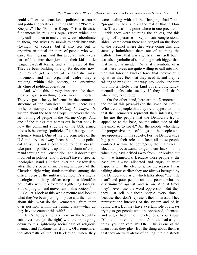could call cadre formations—political structures and political operatives in things like the "Promise Keepers." The "Promise Keepers" is a fascistic fundamentalist religious organization which not only calls on men to make their wives subordinate to them, and wives to submit to their husbands (lovingly, of course) but it also sets out to organize an actual structure of people who will carry this message and this program into every part of life: into their job, into their kids' little league baseball teams, and all the rest of this. They've been building this up for decades now. So they've got a sort of a fascistic mass movement and an organized cadre they're building within this society, an organized structure of political operatives.

And, while this is very important for them, they've got something even more important. They've got a heavy influence in the command structure of the American military. There is a book, for example, called *Making the Corps*. It's written about the Marine Corps—it covers the basic training of people in the Marine Corps. And one of the things that comes out in that book is how the command structure of the U.S. armed forces is becoming "politicized" (in bourgeois reactionary terms). One of the big principles of the U.S. military has always been that it's not a political army, it's not a politicized force. It doesn't take part in politics, it upholds the chain of command through the Constitution, and it doesn't get involved in politics, and it doesn't have a specific ideological stand. But then, over the last few decades, there's been an increasing influence of the Christian right-wing fundamentalists among the officer corps of the military. So now it's a highly ideological military officer corps that identifies politically with this extreme right-wing fascistic kind of program and movement in this society.<sup>1</sup>

So, let's look at this whole picture and look at what they've been putting in place and then think about this: what do the Democrats—from their own position within the ruling class—what do they have to counter this with?

Here's the pyramid, and here are the Republicans over here (on the right) with their shit going down to this right-wing social base of religious maniacs and fundamentalist fools. OK, remember the aftermath of the 2000 election, when they were dealing with all the "hanging chads" and "pregnant chads" and all the rest of that in Florida. There was one point where in one precinct in Florida they were counting the ballots, and this group of operatives—Republican congressional aides—came down there and banged on the doors of the precinct where they were doing this, and actually intimidated them out of counting the ballots. Now, that was significant in itself but it was also symbolic of something much bigger than that particular incident. What it's symbolic of is that these forces are quite willing to call into motion this fascistic kind of force that they've built up when they feel that they need it, and they're willing to bring it all the way into motion and turn this into a whole other kind of religious, fundamentalist, fascistic society if they feel that's where they need to go.

On the other hand, here are the Democrats at the top of this pyramid (on the so-called "left"). Who are the people that they try to appeal to—not that the Democrats represent their interests, but who are the people that the Democrats try to appeal to at the base, on the other side of this pyramid, so to speak? All the people who stand for progressive kinds of things, all the people who are oppressed in this society. For the Democrats, a big part of their role is to keep all those people confined within the bourgeois, the mainstream, electoral process...and to get them back into it when they have drifted away from—or broken out of—that framework. Because those people at the base are always alienated and angry at what happens with the elections, for the reason I was talking about earlier: they are always betrayed by the Democratic Party, which talks about "the little man" and poor people and the people who are discriminated against, and so on. And at times they'll even use the word oppression. But then they just sell out these people every time because they don't represent their interests. They represent the interests of the system and of its ruling class. But they have a certain role of always trying to get people who are oppressed, alienated and angry back into the elections. You know: "Come on in, come on in—it's not as bad as you think, you can vote, it's OK." This is one of the main roles they play. But the thing about them is that they are very afraid of calling into the streets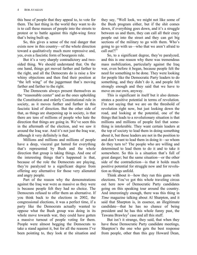this base of people that they appeal to, to vote for them. The last thing in the world they want to do is to call these masses of people into the streets to protest or to battle against this right-wing force that's being built up.

So, this gives a sense of the real danger that exists now in this country—of the whole direction toward a qualitatively much more repressive and, yes, even a fascistic form of bourgeois rule.

But it's a very sharply contradictory and twosided thing. We should understand that. On the one hand, things get moved farther and farther to the right, and all the Democrats do is raise a few whiny objections and then find their position at "the left wing" of the juggernaut that's moving farther and farther to the right.

The Democrats always present themselves as the "reasonable center" and as the ones upholding the Constitution and orderly Constitutional rule in society, as it moves further and further in this fascistic kind of direction. But the other side of that, as things are sharpening up in society, is that there are tens of millions of people who hate the direction that things are going in. We've seen this in the aftermath of the election, and we saw it around the Iraq war. And it's not just the Iraq war, although it very definitely is that.

Millions and millions and millions of people have a deep, visceral gut hatred for everything that's represented by Bush and the whole direction that group is taking things. And one of the interesting things that's happened is that, because of the role the Democrats are playing, they're paralyzed to a significant degree from offering any alternative for those very alienated and angry people.

Part of the reason why the demonstrations against the Iraq war were as massive as they were is because people felt they had no choice. The Democrats refused to offer them an alternative. If you think back to the elections in 2002, the congressional elections, it was a perfect time, if a party like the Democrats actually wanted to oppose what the Bush group was doing in its whole move towards war, they could have gotten a massive turnout of people voting for them. People were almost begging the Democrats to take a stand against it, but for all the reasons I've been pointing to, they look at the situation and

they say, "Well look, we might not like some of the Bush program either, but if the shit comes down, if everything goes down, and it's a struggle between us and them, they can call all their crazy people out into the street and they can get big sections of the military to go with them. Who's going to go with us—who that we aren't afraid to call out?!"

So, to a significant degree, they're paralyzed, and this is one reason why there was tremendous mass mobilization, particularly against the Iraq war, even before it began, because people felt the need for something to be done. They were looking for people like the Democratic Party leaders to do something, and they didn't do it, and people felt strongly enough and they said that we have to move on our own, anyway.

This is significant in itself but it also demonstrates a positive potential in terms of revolution. I'm not saying that we are on the threshold of revolution right now, but just looking down the road, and looking at the potential, one of the things that leads to a revolutionary situation is that millions and millions of people feel that something is intolerable. They want certain leaders at the top of society to lead them in doing something about it, but those leaders are not in the position to and don't want to lead them in doing it—so whom do they turn to? The people who are willing and determined to lead them to do it and to take it somewhere. So this is a situation that's full of great danger; but the same situation—or the other side of the contradiction—is that it holds much positive potential for struggle now and for revolution as things unfold.

Think about it—how they run this game with elections. You've got this whole traveling circus out here now of Democratic Party candidates going on this speaking tour around the country. And interestingly enough, there was this thing in *Time* magazine talking about Al Sharpton, and it said that Sharpton is, in essence, an illegitimate candidate—that he has no chance of being president and he has this whole funny past, the Tawana Brawley<sup>2</sup> case and all this stuff.

But isn't it strange, they said, that when they have these Democratic Party candidate meetings, Sharpton's the one who gets the best response from people, other than this guy Howard Dean,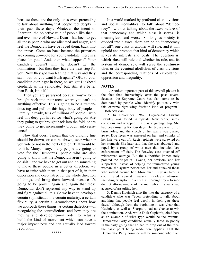because those are the only ones even pretending to talk about anything that people feel deeply in their guts these days. Whatever the intent of Sharpton, the objective role of people like that and even more of Howard Dean—has been to get all those people who are alienated and angry, and feel the Democrats have betrayed them, back into the arena: "Come on back because the primaries are coming up—vote for your candidate, there is a place for you." And, then what happens? Your candidate doesn't win, he doesn't get the nomination—but then they have the next step for you. Now they got you leaning that way and they say, "but, do you want Bush again?" OK, so your candidate didn't get in there, so we got Dickhead Gephardt as the candidate, $3$  but, still, it's better than Bush, isn't it?"

Then you are paralyzed because you've been brought back into their arena where you can't do anything effective. This is going to be a tremendous tug and pull on this huge body of people literally, already, tens of millions of people—who feel this deep gut hatred for what's going on. Are they going to get brought back into the fold, or are they going to get increasingly brought into resistance?

Now that doesn't mean that the dividing line should be drawn, or can be drawn, over whether you vote or not in the next election. That would be foolish. Many, many, many people are going to vote for the Democrats—people who are also going to know that the Democrats aren't going to do shit—and we have to get out and do something to move these people in a better direction: we have to unite with them in that part of it, in their opposition and deep hatred for the whole direction of things, and bring them forward, because it's going to be proven again and again that these Democrats don't represent any way to stand up and fight against all this. So we have to develop a certain sophistication, a certain maturity, a certain flexibility, a certain all-aroundedness about how we approach these things. A certain dialectics—of recognizing the contradictions and how they are moving and developing—in order to actually build the kind of movement which can have a major impact now and can actually lead toward revolution.

In a world marked by profound class divisions and social inequalities, to talk about "democracy"—without talking about the *class nature* of that democracy and which class it serves—is meaningless, and worse. So long as society is divided into classes, there can be no "democracy for all": one class or another will rule, and it will uphold and promote that kind of democracy which serves its interests and goals. The question is: **which class** will rule and whether its rule, and its system of democracy, will serve the **continuation**, or the eventual **abolition**, of class divisions and the corresponding relations of exploitation, oppression and inequality.

#### **NOTES:**

1. Another important part of this overall picture is the fact that, increasingly over the past several decades, the Supreme Court has also come to be dominated by people who "identify politically with this extreme right-wing fascistic kind of program." —Bob Avakian

2. In November 1987, 15-year-old Tawana Brawley was found in upstate New York, semiconscious and wrapped in a plastic garbage bag. She had been missing for four days. Her blouse was full of burn holes, and the crotch of her pants was burned away. Dog feces was smeared on her, and chunks of her hair were cut off. Racist epithets were scrawled on her stomach. She later said that she was abducted and raped by a group of white men that included law enforcement officials. The Brawley case touched off widespread outrage. But the authorities immediately pointed the finger at Tawana, her advisors, and her supporters. Instead of helping the traumatized young woman, the system persecuted her and attacked those who rallied around her. More than 10 years later, a court ruled against Tawana Brawley's advisors, including Sharpton, in a civil suit brought by a former district attorney—one of the men whom Tawana had accused of assaulting her.

3. Dennis Kucinich also fits into the category of a candidate who was "even pretending to talk about anything that people feel deeply in their guts these days," although from the beginning it was clear that Kucinich, as well as Sharpton, had no chance to win the nomination. And, while Dick Gephardt, cited here as an example of what type would be the eventual Democratic Party candidate, actually fared so poorly in the early going that he had to drop out of the race, the basic point being made here applies: That the Democratic Party nominee will be someone who from

\*\*\*\*\*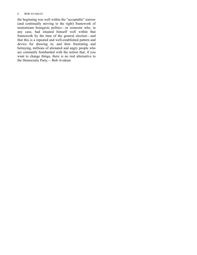#### 6 BOB AVAKIAN

the beginning was well within the "acceptable" narrow (and continually moving to the right) framework of mainstream bourgeois politics—or someone who, in any case, had situated himself well within that framework by the time of the general election—and that this is a repeated and well-established pattern and device for drawing in, and then frustrating and betraying, millions of alienated and angry people who are constantly bombarded with the notion that, if you want to change things, there is no real alternative to the Democratic Party.—Bob Avakian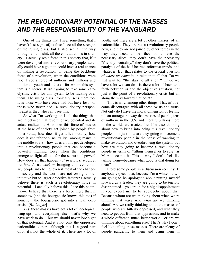## *THE REVOLUTIONARY POTENTIAL OF THE MASSES AND THE RESPONSIBILITY OF THE VANGUARD*

One of the things that I see, something that I haven't lost sight of, is this: I see all the strength of the ruling class, but I also see all the way through all this shit, all the contradictions in society—I actually see a force in this society that, if it were developed into a revolutionary people, actually could have a go at it, could have a real chance of making a revolution, or being the backbone force of a revolution, when the conditions were ripe. I see a force of millions and millions and millions—youth and others—for whom this system is a horror: It isn't going to take some cataclysmic crisis for this system to be fucking over them. The ruling class, ironically, sees them too. It is those who have once had but have lost—or those who never had—a revolutionary perspective...it is they who can't see this.

So what I'm working on is all the things that are in between that revolutionary potential and its actual realization. How does this force of masses at the base of society get joined by people from other strata, how does it get allies broadly, how does it get "friendly neutrality" among many in the middle strata—how does all this get developed into a revolutionary people that can become a powerful fighting force when the conditions emerge to fight all out for the seizure of power? How does all that happen *not in a passive sense*, but *how do we work on* bringing this revolutionary people into being, even if most of the changes in society and the world are not owing to our initiative but to larger objective factors? I actually believe there is such a revolutionary force in potential—I actually believe this, I see this potential—I believe that there is a force there that, if somehow (and the bourgeoisie knows this too) if somehow the bourgeoisie got into a real, deep crisis...[*BA laughs*]

Yes, these masses have got a lot of ideological hang-ups, and everything else—that's why we have work to do— but we should never lose sight of that potential. And it's not only the oppressed nationalities either—although that is a good part of it, it's not the whole of it. There are a lot of youth, and there are a lot of other masses, of all nationalities. They are not a revolutionary people now, and they are not joined by other forces in the way they need to be—they don't have the necessary allies, they don't have the necessary "friendly neutrality," they don't have the political paralysis of the half-hearted reformist trends, and whatever. But that relates to the crucial question of *where we come in*, in relation to all that. Do we just wait for "the stars to all align"? Or do we have a lot we can do—is there a lot of back and forth between us and the objective situation, not just at the point of a revolutionary crisis but all along the way toward that point?

This is why, among other things, I haven't become discouraged with all these twists and turns. Not only do I have the moral dimension of feeling it's an outrage the way that masses of people, tens of millions in the U.S. and literally billions more in the world, are treated, but I'm also thinking about how to bring into being this revolutionary people—not just how are they going to become a revolutionary people in the sense of wanting to make revolution and overthrowing the system, but how are they going to become a revolutionary people in terms of "fitting themselves to rule" as Marx once put it. This is why I don't feel like tailing them—because what good is that doing for them?

I told some people in a discussion recently: If anybody expects that, because I'm a white male, I am going to be apologetic about putting myself forward as a leader, they are going to be terribly disappointed—you are in for a big disappointment if you expect me to be apologetic about that. Because whom are we thinking about when we're thinking that way? And *what* are we thinking about? Are we really thinking about the masses of people who are bitterly oppressed, and what they need to get out from that oppression, and to make a whole different, much better world—or are we thinking about something else? That's why I don't feel like tailing these masses. There are plenty of people pandering to them and using them in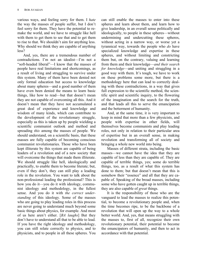various ways, and feeling sorry for them. I *hate* the way the masses of people suffer, but I don't feel sorry for them. They have the potential to remake the world, and we have to struggle like hell with them to get them to see that and to get them to rise to that. We shouldn't aim for anything less. Why should we think they are capable of anything less?

And, yes, there are a tremendous number of contradictions. I'm not an idealist—I'm not a "soft-headed liberal"—I know that the masses of people have real limitations and shortcomings, as a result of living and struggling to survive under this system. Many of them have been denied not only formal education but access to knowledge about many spheres—and a good number of them have even been denied the means to learn basic things, like how to read—but that doesn't mean they are not capable of overcoming all this. And it doesn't mean that they have not accumulated a great deal of experience and knowledge and wisdom of many kinds, which can contribute to the development of the revolutionary struggle, especially as this is taken up by people wielding a scientific communist outlook and method and spreading *this* among the masses of people. We should understand, on a scientific basis, that these masses are fully capable of becoming conscious communist revolutionaries. Those who have been kept illiterate by this system are capable of being leaders of a revolution and of a new society that will overcome the things that made them illiterate. We should struggle like hell, ideologically and practically, to enable them to become literate; but, even if they don't, they can still play a leading role in the revolution. You want to talk about the non-professional leading the professional? This is how you do it—you do it with ideology, communist ideology and methodology, in the fullest sense. And you do it with *the correct understanding* of this ideology. Some of the masses who are going to play leading roles in this process are never going to understand much beyond some basic things about physics, for example. And most of us here aren't either. [*BA laughs*] But they don't have to understand all that to be able to lead. If you have the right ideology and methodology, you can still relate correctly to physics, and to physicists, and to people in all these spheres. You

can still enable the masses to enter into these spheres and learn about them, and learn how to give leadership, in an overall sense politically and ideologically, to people in these spheres—without undermining and undercutting these spheres, without acting in a narrow way, or worse yet a tyrannical way, towards the people who *do* have specialized knowledge and expertise in these spheres, and without limiting and constricting them but, on the contrary, valuing and learning from them and their knowledge—*and their search for knowledge*—and uniting and struggling in a good way with them. It's tough, we have to work on these problems some more, but there is a methodology here that can lead to correctly dealing with these contradictions, in a way that gives full expression to the scientific method, the scientific spirit and scientific inquiry, to the flowering of the imagination and the search for the truth, and that leads all this to serve the emancipation and the betterment of humanity.

And, at the same time, it is very important to keep in mind that more than a few physicists, and people with expertise in other fields, will themselves become communists and play leading roles, not only in relation to their particular area of expertise but in an overall sense, in making revolution and transforming all of society and bringing a whole new world into being.

Masses of different strata, including the basic masses—we cannot have the idea that they are capable of less than they are capable of. They are capable of terrible things, yes; some do terrible things, too, as a result of what this system has done to them; but that doesn't mean that this is somehow their "essence" and all that they are capable of. Speaking of the broad masses, including some who have gotten caught up in terrible things, they are also capable of *great* things.

It is the responsibility of those who are the vanguard to lead the masses to realize this potential, to become a revolutionary people and, when the time becomes ripe, to be the backbone of a revolution that will open up the way to a whole better world. And, yes, that means struggling with the masses to, first of all, recognize their own revolutionary potential, their potential to become the emancipators of humanity, and then to act in accordance with that potential.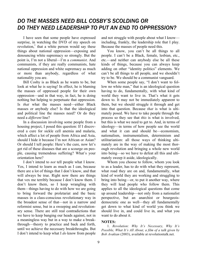### *DO THE MASSES NEED BILL COSBY'S SCOLDING OR DO THEY NEED LEADERSHIP TO PUT AN END TO OPPRESSION?*

I have seen that some people have expressed surprise, in watching the DVD of my speech on revolution, <sup>1</sup> that a white person would say these things about national oppression—exposing and denouncing white supremacy so strongly. But the point is, I'm not a liberal—I'm a *communist*. And communists, if they are really communists, hate national oppression and white supremacy as much or more than anybody, regardless of what nationality you are.

Bill Cosby is as Black as he wants to be, but look at what he is saying! In effect, he is blaming the masses of oppressed people for their own oppression—and in that way, in fact, he is doing nothing but helping to perpetuate that oppression. Is *that* what the masses need—either Black masses or anybody else? Is that the ideological and political line the masses need? Or do they need a *different* line?

In a discussion involving some people from a housing project, I posed this question: If I discovered a cure for sickle cell anemia and malaria, which affect a lot of people from Africa and Asia, should I hide it because I'm not African or Asian? Or should I tell people: Here's the cure, now let's get rid of these diseases that are a scourge on people, causing tremendous suffering? What's your orientation here?

I don't intend to *not* tell people what I know. Yes, I intend to learn as much as I can, because there are a lot of things that I don't know, and that will always be true. Right now there are things that vex me terribly because I don't know them. I don't know them, so I keep wrangling with them—things having to do with how we are going to bring forward the proletariat and the basic masses in a class-conscious revolutionary way in the broadest sense of that—not in a narrow and reformist sense, but in a sweeping and revolutionary sense. There are still real contradictions that we have to keep banging our heads against, not in a meaningless way but in a way to make a breakthrough—theory to practice and back and forth, until we achieve the necessary breakthroughs. But I don't intend to keep what I *do* know from people

and not struggle with people about what I know including, frankly, the leadership role that I play. Because the masses of people need this.

You know, you can't be all things to all people. I can't be a Black, female, lesbian, etc., etc.—and neither can anybody else be all these kinds of things, because you can always keep adding on other "identity politics" elements. We can't be all things to all people, and we shouldn't try to be. We should be a communist vanguard.

When some people say, "I don't want to follow no white man," that is an ideological question having to do, fundamentally, with what kind of world they want to live in. That's what it gets down to. It may not be immediately apparent to them, but we should struggle it through and get into that question. Because *that* is what is ultimately posed. We have to take people through the process so they see that *this* is what is involved, but this is what we need to get to. And, in terms of ideology—in terms of how people see the world and what it can and should be—economism, nationalism, instrumentalism, determinism and utilitarianism: all those ways of thinking ultimately are in the way of making the most thorough revolution and bringing a whole new world into being—so we have to defeat all this and ultimately sweep it aside, ideologically.

Whom you choose to follow, whom you look to as a leader, has to do with what they represent, what road they are on and, fundamentally, what kind of world they are working and struggling to bring into being—or, to put it another way, where they will lead people who follow them. This applies to all the ideological questions that come up around leadership—not only from a nationalist perspective, but an anarchist or bourgeoisdemocratic one as well—they all fundamentally get down to what kind of world you think we should live in, and could live in, and what you want to do about it.

#### **NOTES:**

1. *Revolution: Why It's Necessary, Why It's Possible, What It's All About, a film of a talk given by Bob Avakian* (2003), available at revolutiontalk.net.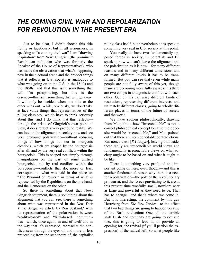## *THE COMING CIVIL WAR AND REPOLARIZATION FOR REVOLUTION IN THE PRESENT ERA*

Just to be clear, I didn't choose this title lightly or facetiously, but in all seriousness. In speaking to "a coming civil war" I am "drawing inspiration" from Newt Gingrich (the prominent Republican politician who was formerly the Speaker of the House of Representatives), who has made the observation that what's happening now in the electoral arena and the broader things that it reflects in U.S. society is analogous to what was going on in the U.S. in the 1840s and the 1850s, and that this isn't something that will—I'm paraphrasing, but this is the essence—this isn't something that will go away. It will only be decided when one side or the other wins out. While, obviously, we don't take at face value things that representatives of the ruling class say, we do have to think seriously about this, and I do think that this reflects through the prism of Gingrich's own point of view, it does reflect a very profound reality. We can look at the alignment in society now and see very profound polarization—without reducing things to how things fall out in bourgeois elections, which are shaped by the bourgeoisie after all, and by the very real conflicts within the bourgeoisie. This is shaped not simply through manipulation on the part of some unified bourgeoisie, but by real conflicts within the bourgeoisie—conflicts that do, more or less, correspond to what was said in the piece on "The Pyramid of Power"<sup>1</sup> in terms of what is represented by the Republicans on the one hand, and the Democrats on the other.

So there is something about that Newt Gingrich statement, there is something about the alignment that you can see, there is something about what was represented in the *New York Times Magazine* article by Ron Suskind,<sup>2</sup> with its representation of the polarization between "reality-based" and "faith-based" communities—which, once again, in and of itself and in the way that it's expressed, represents the conflicts seen through the eyes of, and more or less proceeding from the standpoint of, the capitalist ruling class itself, but nevertheless does speak to something very real in U.S. society at this point.

You really do have two fundamentally opposed forces in society, in potential; and I'll speak to how we can't leave the alignment and the polarization as it is now—for many different reasons and in many different dimensions and on many different levels it has to be transformed. But you can see that (even while many people are not fully aware of this yet, though many are becoming more fully aware of it) there are two camps in antagonistic conflict with each other. Out of this can arise different kinds of resolutions, representing different interests, and ultimately different classes, going to wholly different places in terms of the future of society and the world.

We have spoken philosophically, drawing from Mao, about how "irreconcilable" is not a correct philosophical concept because the opposite would be "reconcilable," and Mao pointed out that there are no reconcilable contradictions. But nonetheless [*BA laughs*], leaving that aside, these really are irreconcilable world views and fundamentally irreconcilable views on what society ought to be based on and what it ought to be like.

There is something very profound and important going on here, even though—and this is another fundamental reason why there is a need for repolarization—the pole of the revolutionary proletariat, and the forces gravitating to it, are at this present time woefully small, nowhere near as large and powerful as they need to be. That has to change—and that's where we come in. But it is interesting, the comment by this guy Hertzberg from *The New Yorker*—to the effect that two bad things are going to happen because of the Bush re-election: One, all the terrible stuff Bush and company are going to do; and two, this is going to lead to, or provide an opening for, the revival (if you'll pardon the expression) of the radical left. So what people like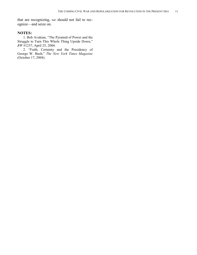that are recognizing, *we* should not fail to recognize—and seize on.

#### **NOTES:**

1. Bob Avakian, "The Pyramid of Power and the Struggle to Turn This Whole Thing Upside Down," *RW* #1237, April 25, 2004.

2. "Faith, Certainty and the Presidency of George W. Bush," *The New York Times Magazine* (October 17, 2004).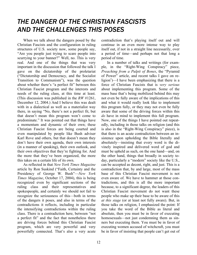## *THE DANGER OF THE CHRISTIAN FASCISTS AND THE CHALLENGES THIS POSES*

When we talk about the dangers posed by the Christian Fascists and the configuration in ruling structures of U.S. society now, some people say, "Are you people just trying to scare people into scurrying to your banner?" Well, no. This is very real. And one of the things that was very important in the discussion that followed the talk I gave on the dictatorship of the proletariat ("Dictatorship and Democracy, and the Socialist Transition to Communism"), was the question about whether there's "a perfect fit" between this Christian Fascist program and the interests and needs of the ruling class, at this time at least. (This discussion was published in the *RW* #1261, December 12, 2004.) And I believe this was dealt with in a dialectical as well as a materialist way there, in saying "No, there's not a perfect fit, but that doesn't mean this program won't come to predominate." It was pointed out that things have a momentum and dynamic of their own; these Christian Fascist forces are being courted and even manipulated by people like Bush adviser Karl Rove and others, but that doesn't mean they don't have their own agenda, their own interests (in a manner of speaking), their own outlook, and their own objectives that they're fighting for. And the more that they've been organized, the more this takes on a certain life of its own.

As reflected in that *New York Times Magazine* article by Ron Suskind ("Faith, Certainty and the Presidency of George W. Bush"—*New York Times Magazine*, October 17, 2004), this is being recognized even by significant sections of the ruling class and their representatives and spokespeople, and certainly we should not fail to recognize the seriousness of this—both in terms of the dangers it poses, and also in terms of the contradictions it reflects, including in particular the intensifying contradictions within the ruling class. There is a contradiction here, between "not a perfect fit" and the fact that nonetheless there are driving forces behind this Christian Fascist program, which are very powerful and very powerfully connected. That's also a very acute

ligion<sup>1</sup>)—I have been emphasizing that there is a force of Christian Fascists that is *very serious* about implementing this program. Some of the

contradiction that's playing itself out and will continue in an even more intense way to play itself out, if not in a straight line necessarily, over a period of time—and perhaps not that long a

In a number of talks and writings (for example, in the "Right-Wing Conspiracy" piece, *Preaching from a Pulpit of Bones*, the "Pyramid of Power" article, and recent talks I gave on re-

period of time.

mass base that's being mobilized behind this may not even be fully aware of the implications of this and what it would really look like to implement this program fully, or they may not even be fully aware that some of the driving forces within this *do* have in mind to implement this full program. Now, one of the things I have pointed out repeatedly, including in those talks on religion (and this is also in the "Right-Wing Conspiracy" piece), is that there is an acute contradiction between an insistence upon upholding the Bible literally and absolutely—insisting that every word is the divinely inspired and delivered word of god and must be upheld as such, on the one hand—and, on the other hand, things that broadly in society today, particularly a "modern" society like the U.S., can be accepted as decent, right, and just. This is a contradiction that, by and large, most of the mass base of this Christian Fascist movement is not even aware of. We have to hammer at those contradictions, and this is all the more important because, to a significant degree, the leaders of this Christian Fascist movement do not want these people who make up their base to be aware of this *at this stage* (or at least not fully aware). But, in those talks on religion, I emphasized the point: If you take the word of the Bible as literal and absolute, then you must be in favor of executing homosexuals—not just condemning them as sinners but executing them. You must be in favor of executing women accused of witchcraft, you must be in favor of insisting that people can't get out of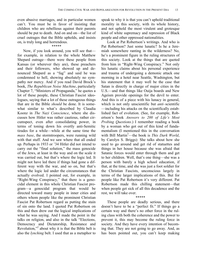even abusive marriages, and in particular women can't. You must be in favor of insisting that children who are rebellious against their parents should be put to death. And on and on—the list of cruel outrages that the Bible upholds, and insists on, is truly long and horrendous.

#### \*\*\*\*\*

Now, if you look around, you will see that for example, in relation to the whole Matthew Shepard outrage—there were these people from Kansas (or wherever they are), these preachers and their followers, who showed up and denounced Shepard as a "fag" and said he was condemned to hell, showing absolutely no sympathy nor mercy. And if you read David Brock's book, *The Republican Noise Machine*, particularly Chapter 7, "Ministers of Propaganda," he quotes a lot of these people, these Christian Fascist ideologues, saying that a lot of these outrageous things that are in the Bible *should* be done. It is somewhat similar to what's described by Claudia Koonz in *The Nazi Conscience*, where she discusses how Hitler was rather cautious, rather circumspect, even after consolidating power, in terms of toning down his overtly anti-Semitic tirades for a while—while at the same time the *mass base*, the stormtroopers, were running wild with that stuff. And we saw where that all ended up. Perhaps in 1933 or '34 Hitler did not intend to carry out the "final solution," the mass genocide of the Jews, at least in the way and on the scale it was carried out, but that's where the logic led. It might not have led there if things had gone a different way with the war, and so on, but that's where the logic led under the circumstances that actually evolved. I pointed out, for example, in "Right-Wing Conspiracy," that there is a genocidal element in this whole Christian Fascist program—a genocidal program that would be directed toward many people in inner cities and others whom people like the prominent Christian Fascist Pat Robertson regard as putting the stain of sin onto the land. I quoted Pat Robertson on this and then drew out the logical implications of what he was saying. And I made the point in the talks on religion, and also in the talk "Elections, Democracy and Dictatorship, Resistance and Revolution," <sup>2</sup> about why it is that the Bible belt is also the *lynching* belt. I used that as a metaphor to

speak to why it is that you can't uphold traditional morality in this society, with its whole history, and not uphold the most virulent and grotesque kind of white supremacy and repression of Black people and other oppressed nationalities.

Look at Pat Robertson's writings. And who is Pat Robertson? Just some lunatic? Is he a Jeremiah somewhere ranting in the wilderness? No, he's a prominent figure in the ruling structures of this society. Look at the things that are quoted from him in "Right-Wing Conspiracy." Not only his lunatic claims about his personal experience and trauma of undergoing a demonic attack one morning in a hotel near Seattle, Washington, but his statement that it may well be the case that Satan is directly in charge of major cities in the U.S.—and that things like Ouija boards and New Ageism provide openings for the devil to enter. And this is of a piece with his lunacy in general, which is not only unscientific but *anti*–scientific —including his attacks on the scientifically established fact of evolution. (See, for example, Robertson's book *Answers to 200 of Life's Most Probing Questions*.) I remember reading a book by a woman who got out of this kind of fundamentalism (I mentioned this in the conversation with Bill Martin3 —the book is *This Dark World*, by Carolyn S. Briggs): She talks about how she used to go around and get rid of statuettes and things in her house because she was afraid that Satanic forces would enter through them and get to her children. Well, that's one thing—she was a person with barely a high school education, if that, at the time, and she was just a foot soldier for the Christian Fascists, unconscious largely in terms of the larger implications of this. But for people like Pat Robertson it's very different. Pat Robertson made this chilling statement—that when people get sick of all this decadence and the rest, we will take over.

These people are deadly serious, and there doesn't have to be a "perfect fit." If things go a certain way and there's no other force in the ruling class with both the coherence and the power to prevent it, this may become the ruling force in society. And they have every intention of becoming that. They are not going to go away. And, as has been pointed out, you can't keep making

\*\*\*\*\*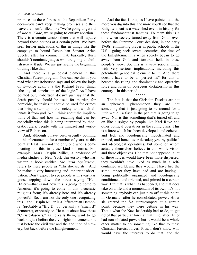promises to these forces, as the Republican Party does—you can't keep making promises and then leave them unfulfilled, like "we're going to get rid of *Roe v. Wade*, we're going to outlaw abortion." There is a certain tension there that will rupture beyond those bounds at a certain point. We have seen further indications of this in things like the campaign to hound Republican Senator Arlen Specter after his comment that, basically, Bush shouldn't nominate judges who are going to abolish *Roe v. Wade*. We are just seeing the beginning of things like that.

And there *is* a genocidal element in this Christian Fascist program. You can see this if you read what Pat Robertson says and follow the logic of it—once again it's the Richard Pryor thing, "the logical conclusion of the logic." As I have pointed out, Robertson doesn't just say that the death penalty should be used for murder, for homicide, he insists it should be used for crimes that bring a stain upon the society, and which alienate it from god. Well, think about the implications of that and how far-reaching that can be, especially when this is being interpreted by theocratic rulers, people with the mindset and worldview of Robertson.

And, although I have been urgently pointing to this phenomenon for a number of years, at this point at least I am not the only one who is commenting on this in these kind of terms. For example, Mark Crispin Miller, a professor of media studies at New York University, who has written a book entitled *The Bush Dyslexicon*, refers to these people as "Christo-fascists." And he makes a very interesting and important observation: Don't expect to see people with swastikas goose-stepping down the street saying "Heil Hitler"—that is not how this is going to come to America, it's going to come in this theocratic religious form; it's already here and it's already powerful. So, I am not the only one recognizing this—and Crispin Miller is a Jeffersonian Democrat (probably a "Big D" but certainly a "small d" democrat), expressly so. He talks about how these "Christo-fascists," as he calls them, want to go back not just before the civil rights movement, not just before the civil war and the abolition of slavery, but back before the Enlightenment.

And the fact is that, as I have pointed out, the more you dig into this, the more you'll see that the Enlightenment is a watershed event in history for these fundamentalist fanatics. To them this is a time when society turned away from God—even before the Supreme Court decision, in the early 1960s, eliminating prayer in public schools in the U.S.—going back several centuries, the time of the Enlightenment is when society began to go away from God and towards hell, in these people's view. So, this is a very serious thing, with very serious implications, including this potentially genocidal element to it. And there doesn't have to be a "perfect fit" for this to become the ruling and dominating and operative force and form of bourgeois dictatorship in this country—in this period.

#### \*\*\*\*\*

The fact is that the Christian Fascists are not an ephemeral phenomenon—they are not something that is just going to be around for a little while—a flash in the pan that is going to go away. Nor is this something that's turned off and on like a spigot by people like Karl Rove and other political operatives in the ruling class. This is a force which has been developed, and cohered, and led, and ideologically indoctrinated and trained, and honed over decades; yes, by political and ideological operatives, but some of whom actually themselves believe in this whole vision and these objectives. Had that *not* happened, a lot of these forces would have been more dispersed, they wouldn't have lived as much in a selfcontained world, and they wouldn't have had the same impact they have had and are having being politically organized and ideologically conditioned, and oriented, and primed in a certain way. But that is what has happened, and that does take on a life and a momentum of its own. It's not something anybody can just turn off at this point. In Germany, after he consolidated power, Hitler slaughtered the SA stormtroopers at a certain point, because they were getting in his way. That's what the Nazi leadership had to do, to get rid of that particular force at that time, after Hitler had consolidated power; but it would be a whole other matter to do something like that to these Christian Fascist forces. Plus, I don't know who would have the interests to do that, and the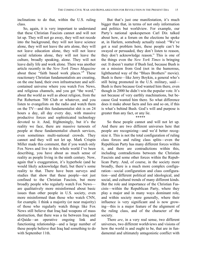inclinations to do that, within the U.S. ruling class.

So, again, it is very important to understand that these Christian Fascists cannot and will not let up. They will not go away, they will not recede into the background, they will not leave science alone, they will not leave the arts alone, they will not leave education alone, they will not leave social relations alone, they will not leave the culture, broadly speaking, alone. They will not leave daily life and work alone. There was another article recently in the *New York Times Magazine* about these "faith based work places."<sup>4</sup> These reactionary Christian fundamentalists are creating, on the one hand, their own infrastructure and selfcontained universe where you watch Fox News, and religious channels, and you get "the word," about the world as well as about religion, from the Pat Robertson 700 Club or whatever, and you listen to evangelists on the radio and watch them on the TV—and this fundamentalist shit is on 24 hours a day, all day every day, with massive productive forces and sophisticated technology devoted to it. And, frighteningly, but it's the reality we face, there are massive turnouts of people at these fundamentalist church services, even sometimes multi-national crowds. They cannot and they will not let up. Mark Crispin Miller made this comment, that if you watch only Fox News and live in this whole world I've been describing, you have about as much sense of reality as people living in the ninth century. Now, again that's exaggeration, it's hyperbole (and he would likely acknowledge that), but there's some reality to that. There have been surveys and studies that show that these people—not just confined to the Christian Fascists, but more broadly people who regularly watch Fox News are qualitatively more misinformed about basic issues than other people in U.S. society, even more misinformed than those who watch CNN, for example. I think a majority (or near majority) of those who regularly watch things like Fox News still believe that Iraq had weapons of mass destruction, that there was a tie between Iraq and al-Qaida—an operative ongoing link and functioning relationship—and a large number of these people believe that Iraq had something to do with September 11th.

But that's just one manifestation, it's much bigger than that, in terms of not only information and politics but worldview. For example, our Party's national spokesperson Carl Dix talked about how, at a forum on the elections he spoke at, in Harlem, somebody actually raised: "We've got a real problem here, these people can't be swayed or persuaded, they don't listen to reason, they don't acknowledge reason." This is one of the things even the *New York Times* is bringing out: It doesn't matter if Bush lied, because Bush is on a mission from God (not in the humorous, lighthearted way of the "Blues Brothers" movie). Bush is there—like Jerry Boykin, a general who's still being promoted in the U.S. military, said— Bush is there because God wanted him there, even though in 2000 he didn't win the popular vote. It's not because of very earthly machinations, but because God wanted him there. So what difference does it make about facts and lies and so on, if this is what's behind Bush. God's will and purpose is greater than any fact, or any lie.

#### \*\*\*\*\*

So these people cannot and will not let up. And there are two different universes here that people are recognizing—and we'd better recognize it. This is not the total configuration of ruling class forces and ruling class splits—even the Republican Party has many different forces within it, and there are contradictions within this, including contradictions between the Christian Fascists and some other forces within the Republican Party. And, of course, in the society more broadly, there is a much more complex configuration—social configuration and class configuration—and different political and ideological, and social, and cultural trends of many different kinds. But the role and importance of the Christian Fascists—within the Republican Party, where they play a major and in many ways dominant role, and within society more generally, where their influence is very significant and is now growing—this is a major feature of the alignment of the ruling class, and of the character of the society.

There *are*, in a very real sense, two different universes, two different worldviews and visions of how the world is and ought to be, that are in fundamental and ultimately antagonistic conflict with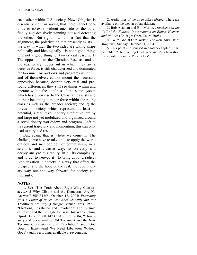each other within U.S. society. Newt Gingrich is essentially right in saying that these cannot continue to co-exist without one side or the other finally and decisively winning out and defeating the other.<sup>5</sup> But right now it is a fact that the alignment, the polarization that presently exists the way in which the two sides are taking shape politically and ideologically—is not a good thing. It is not a good thing for two crucial reasons: 1) The opposition to the Christian Fascists, and to the reactionary juggernaut in which they are a decisive force, is still characterized and dominated far too much by outlooks and programs which, in and of themselves, cannot mount the necessary opposition because, despite very real and profound differences, they still see things within and operate within the confines of the same system which has given rise to the Christian Fascists and to their becoming a major force within the ruling class as well as the broader society; and 2) the forces in society which represent, at least in potential, a real, revolutionary alternative, are by and large not yet mobilized and organized around a revolutionary worldview and program. Left to its current trajectory and momentum, this can only lead to very bad results.

But, again, that is where we come in. The challenge we have to take up is to apply the world outlook and methodology of communism, in a scientific and creative way, to correctly and deeply analyze this reality, in all its complexity, and to act to *change* it—to bring about a radical *re*polarization in society in a way that offers the prospect and the hope of the real, the revolutionary way out and way forward for society and humanity.

#### **NOTES:**

1. See "The Truth About Right-Wing Conspiracy...And Why Clinton and the Democrats Are No Answer," *RW* #1255, October 17, 2004; *Preaching from a Pulpit of Bones: We Need Morality But Not* Traditional *Morality* (Chicago: Banner Press, 1999); "Elections, Resistance, and Revolution: The Pyramid of Power and the Struggle to Turn This Whole Thing Upside Down," *RW* #1237, April 25, 2004; "Christianity and Society—The Old Testament and the New Testament, Resistance and Revolution" and "God Doesn't Exist—And We Need Liberation Without Gods" (audio recordings available at revcom.us).

2. Audio files of the three talks referred to here are available on the web at bobavakian.net.

3. Bob Avakian and Bill Martin, *Marxism and the Call of the Future: Conversations on Ethics, History, and Politics* (Chicago: Open Court, 2005).

4. "With God at Our Desks," *The New York Times Magazine*, Sunday, October 31, 2004.

5. This point is discussed in another chapter in this pamphlet, "The Coming Civil War and Repolarization for Revolution in the Present Era"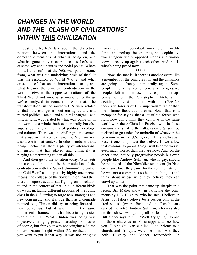## *CHANGES IN THE WORLD AND THE "CLASH OF CIVILIZATIONS"— WITHIN THIS CIVILIZATION*

Just briefly, let's talk about the dialectical relation between the international and the domestic dimensions of what is going on, and what has gone on over several decades. Let's look at some key conjunctures and nodal points. Where did all this stuff that the '60s was part of come from, what was the underlying basis of that? It was the resolution of World War 2, and what arose out of that on an international scale, and what became the principal contradiction in the world—between the oppressed nations of the Third World and imperialism—and other things we've analyzed in connection with that. The transformations in the southern U.S. were related to that—the changes in southern agriculture and related political, social, and cultural changes—and this, in turn, was related to what was going on in the world as a whole, both economically but also superstructurally (in terms of politics, ideology, and culture). There was the civil rights movement that arose in that context, and the Vietnam war also arose in that context. In other words, without being mechanical, there's plenty of international dimension that has played and ultimately is playing a determining role in all this.

And then go to the situation today. What sets the context for all this is the resolution of the contradiction with the Soviet Union—"the end of the Cold War," as it is put—by highly unexpected means: the collapse of the Soviet Union. And then there is superstructural stuff going on in relation to and in the context of that, in all different kinds of ways, including different sections of the ruling class in the U.S. trying to forge new strategies and new consensus. And it's true that, as a comrade pointed out, Clinton did try to bring forward a new consensus; but it was within the same fundamental framework as has historically existed within the U.S. What Clinton was doing was objectively bringing greater hardship for masses of people, but frankly it was not bringing a "clash of civilizations" right within *this* civilization, if you want to put it that way. It was not bringing

two different "irreconcilable"—or, to put it in different and perhaps better terms, philosophically, two antagonistically opposed worlds and worldviews directly up against each other. And that is what's being posed now.

\*\*\*\*\*

Now, the fact is, if there is another event like September 11, the configuration and the dynamics are going to change dramatically again. Some people, including some generally progressive people, left to their own devices, are perhaps going to join the Christopher Hitchens' in deciding to cast their lot with the *Christian* theocratic fascists of U.S. imperialism rather than the Islamic theocratic fascists. Now, that is a metaphor for saying that a lot of the forces who right now don't think they can live in the same world with these Christian Fascists will, in those circumstances (of further attacks on U.S. soil) be inclined to go under the umbrella of whatever the government in the U.S. is, even if it's a Christian Fascist one, to protect themselves. If we allow that dynamic to go on, things will become worse, even much worse, than they are now. And, on the other hand, not only progressive people but even people like Andrew Sullivan, who is gay, should be reminded of the Niemöller statement (in Nazi Germany: First they came for the communists, but he was not a communist so he did nothing...<sup>1</sup>) and think about whose wing they believe they can crawl up under.

That was the point that came up sharply in a recent Bill Maher show—in particular the comments by D.L. Hughley, who insisted: I believe in Jesus, but I don't believe Jesus resides only in the "red states" (where Bush and the Republicans carried the vote). Andrew Sullivan, who was also on that show, was getting all puffed up, and so Bill Maher says to him: "Well, try going into one of those churches in Mississippi and see how you..." And Sullivan cut in: "I do belong to a church, and I'm quite welcome in it." And they both, Hughley and Maher, responded: "In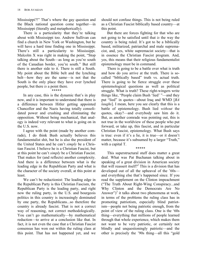Mississippi?!" That's where the gay question and the Black national question come together—in Mississippi (literally and metaphorically).

There is a particularity that they're talking about with Mississippi too. Andrew Sullivan can find a church in New York or Washington, but he will have a hard time finding one in Mississippi. There's still a particularity to Mississippi. Malcolm X was right in making the point, "Stop talking about the South—as long as you're south of the Canadian border, you're south." But still there is another side to it. There is still a South. My point about the Bible belt and the lynching belt—how they are the same—is not that the South is the only place they have ever lynched people, but there *is* a point there.

#### \*\*\*\*\*

In any case, this is the dynamic that's in play now, and it is important to understand that there is a difference between Hitler getting appointed Chancellor and the Nazis having totally consolidated power and crushing and eliminating the opposition. Without being mechanical, that analogy is indeed very relevant to what is going on in the U.S. now.

I agree with the point (made by another comrade), I do think Bush actually believes this fundamentalist shit, but he is also the president of the United States and he can't *simply* be a Christian Fascist. I believe he is a Christian Fascist, but at this point he can't *simply* be a Christian Fascist. That makes for (and reflects) another complexity. And there is a difference between what is the leading edge in the Republican Party and what is the character of the society overall, at this point at least.

We can't be reductionist: The leading edge in the Republican Party is this Christian Fascism, the Republican Party is the leading party, and right now the ruling party, in the U.S. and bourgeois politics in this country is increasingly dominated by one party, the Republicans...so therefore the country is already fascist. That is not a correct way of reasoning, not correct methodologically. You can't go mathematically—by mathematical reduction—to arrive at a conclusion like that. In fact, it is not even the case that a Christian Fascist consensus has won out within the ruling class at this point. That has not happened yet, and we

should not confuse things. This is not being ruled as a Christian Fascist biblically based country—at this point.

But there are forces fighting for that who are not going to be satisfied until that *is* the way the country is being ruled. It's got to be a biblically based, militarized, patriarchal and male supremacist, and, yes, white supremacist society—that is in essence the Christian Fascist program. And, yes, this means that their religious fundamentalist epistemology must be in command.

There is going to be a battle over what is truth and how do you arrive at the truth. There is socalled "biblically based" truth vs. actual truth. There is going to be fierce struggle over these epistemological questions as well as political struggle. What is truth? These right-wingers write things like, "People claim Bush 'lied' "—and they put "lied" in quotes—about Iraq and WMD [*BA laughs*]. I mean, here you see clearly that this is a battle of epistemology. Bush lied *without* the quotes, okay?—and everybody saw him do it. But, as another comrade was pointing out, this is not true in the worldview of these people who put forward, or take up, this fascist, and in particular Christian Fascist, epistemology. What Bush says is true: even if it's a lie, it is true—or it doesn't matter, because it's subsumed by a larger "Truth," with a capital T.

#### \*\*\*\*\*

This superstructural stuff does matter a great deal. What was Pat Buchanan talking about in speaking of a great division in American society that will reassert itself?<sup>2</sup> This is a division that has developed out of all the upheaval of the '60s and everything else that's happened since. If you read the supplement on the Clinton impeachment ("The Truth About Right-Wing Conspiracy...and Why Clinton and the Democrats Are No Answer")<sup>3</sup> it talks about two phenomena at work, in terms of the problems the ruling class has in promoting patriotism, especially blind patriotism—people not being patriotic enough, from the point of view of the ruling class. One is the '60s thing—everything that millions of people learned through that whole experience, which makes them not want to be very patriotic, or certainly not blindly and unquestioningly patriotic—and the other is precisely the '90s thing—all this "gold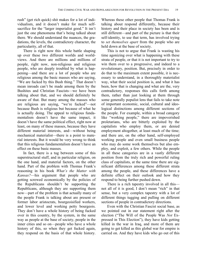rush" (get rich quick) shit makes for a lot of individualism, and it doesn't make for much selfsacrifice for the "larger imperialist good." It isn't just the one phenomena that's being talked about there. We should understand the nuances, the gradations, the levels, the contradictory character, the particularity, all of that.

There is right now this whole battle shaping up over these two different worlds and worldviews. And there are millions and millions of people, right now, non-religious and religious people, who are deeply troubled by what is happening—and there are a lot of people who are religious among the basic masses who are saying, "We are fucked by this Bush thing." That doesn't mean inroads can't be made among them by the Bushites and Christian Fascists—we have been talking about that, and we should definitely be aware of that. But many among the masses who are religious are saying, "we're fucked"—not because Bush is religious but because of what he is actually doing. The appeal to religious fundamentalism doesn't have the same impact, it doesn't have the same political effect, right now at least, on many of these masses, because they have different material interests, and—without being mechanical materialist—there is a point to material interests. But it would be very wrong to think that this religious fundamentalism doesn't have an effect on these basic masses.

In fact, there is a tug between some of this superstructural stuff, and in particular religion, on the one hand, and material factors, on the other hand. Part of the problem with Thomas Frank's reasoning in his book *What's the Matter with Kansas?*—his argument that people who are getting screwed economically by the policies of the Republicans shouldn't be supporting the Republicans, although they are supporting them now—part of the problem is that actually many of the people Frank is talking about are present or former labor aristocrats, bourgeoisified workers, and lower level and working petty bourgeois. They don't have a whole history of being fucked over in this country, by the system, in the same way as people at the base of society, people in the inner cities and so on—people who have a whole history of this, so when they get fucked again, they respond on the basis of that whole history.

Whereas these other people that Thomas Frank is talking about respond differently, because their history and their place in society has been and is still different—and part of the picture is that their self-identity, to use that term, has involved trying to *set themselves apart* from the people who are held down at the base of society.

This is not to argue that Frank is wasting his time agonizing over what is happening with these strata of people, or that it is not important to try to win them over to a progressive, and indeed to a revolutionary, position. But, precisely in order to do that to the maximum extent possible, it is necessary to understand, in a thoroughly materialist way, what their social position is, and what it has been, how that is changing and what are the, very contradictory, responses this calls forth among them, rather than just looking at them through some generally populist lens that fails to take note of important economic, social, cultural and ideological distinctions among different sections of the people. For example, within a broad category like "working people," there are impoverished proletarians, who are bitterly exploited by the capitalists who employ them, or are denied employment altogether, at least much of the time; and there are, on the other hand, self-employed working people and even small business people who may do some work themselves but also employ, and exploit, a few others. While the people in all these categories are in a vastly different position from the truly rich and powerful ruling class of capitalists, at the same time there are significant differences among these different strata among the people, and these differences have a definite effect on their outlook and how they respond to being further pushed down.

There is a rich tapestry involved in all this not all of it is good, I don't mean "rich" in that sense, but a very complex tapestry with a lot of different things tugging and pulling on different sections of people in contradictory directions.

Even with the Christian Fascist social base, as we pointed out in our statement right after the election ("The Will of the People Was *Not* Expressed in This Election"), they have kids getting killed in the war in Iraq, and more of them are going to get killed as this global war for empire is carried on. And they have kids who go out of this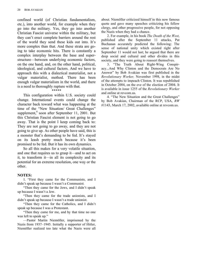confined world (of Christian fundamentalism, etc.), into another world, for example when they go into the military. Yes, they go into another Christian Fascist universe within the military, but they can't erect complete barriers around the rest of the world they send these kids out into. It's more complex than that. And these strata are going to take economic hits. There is constantly a complex interplay between the base and superstructure—between underlying economic factors, on the one hand, and, on the other hand, political, ideological, and cultural factors. And we have to approach this with a dialectical materialist, not a vulgar materialist, method. There has been enough vulgar materialism in the world, and there is a need to thoroughly rupture with that.

#### \*\*\*\*\*

This configuration within U.S. society could change. International events could change the character back toward what was happening at the time of the "New Situation/ Great Challenges" supplement,<sup>4</sup> soon after September 11, 2001. But this Christian Fascist element is not going to go away. That is the point I keep coming back to: They are not going to go away, and they are not going to give up. As other people have said, this is a monster that's demanding to be fed. It's stayed on its leash pretty much because it's been promised to be fed. But it has its own dynamics.

So all this makes for a very volatile situation, and one that requires us to grasp it—and to act on it, to transform it—in all its complexity and its potential for an extreme resolution, one way or the other.

#### **NOTES:**

1. "First they came for the Communists, and I didn't speak up because I wasn't a Communist.

"Then they came for the Jews, and I didn't speak up because I wasn't a Jew.

"Then they came for the trade unionists, and I didn't speak up because I wasn't a trade unionist.

"Then they came for the Catholics, and I didn't speak up because I was a Protestant.

"Then they came for me, and by that time no one was left to speak up."

—Pastor Martin Niemöller, imprisoned by the Nazis from 1937–1945. Initially a supporter of Hitler, Niemöller realized too late what the Nazis were all

about. Niemöller criticized himself in this now famous quote and gave many speeches criticizing his fellow clergy, and other progressive people, for not opposing the Nazis when they had a chance.

2. For example, in his book *The Death of the West*, published after the September 11 attacks, Pat Buchanan accurately predicted the following: The sense of national unity which existed right after September 11 would not last; he argued that there are deep social and cultural and other divides in this society, and they were going to reassert themselves.

3. "The Truth About Right-Wing Conspiracy...And Why Clinton and the Democrats Are No Answer" by Bob Avakian was first published in the *Revolutionary Worker,* November 1998, in the midst of the attempts to impeach Clinton. It was republished in October 2004, on the eve of the election of 2004. It is available in issue 1255 of the *Revolutionary Worker* and online at revcom.us.

4. "The New Situation and the Great Challenges" by Bob Avakian, Chairman of the RCP, USA, *RW* #1143, March 17, 2002, available online at revcom.us.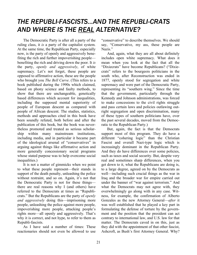## *THE REPUBLI-FASCISTS...AND THE REPUBLI-CRATS AND WHERE IS THE REAL ALTERNATIVE?*

The Democratic Party is after all a party of the ruling class, it *is* a party of the capitalist system. At the same time, the Republican Party, especially now, is the party of openly and aggressively benefiting the rich and further impoverishing people benefiting the rich and driving down the poor. It *is* the party, *openly and aggressively*, of white supremacy. Let's not forget, these people are opposed to affirmative action, these are the people who brought you *The Bell Curve*. (This refers to a book published during the 1990s which claimed, based on phony science and faulty methods, to show that there are unchangeable, genetically based differences which account for inequalities, including the supposed mental superiority of people of European descent as compared with people of African descent. The studies, statistics, methods and approaches cited in this book have been soundly refuted, both before and after the publication of this book, but the book was nevertheless promoted and treated as serious scholarship within many mainstream institutions, including media, and in particular it became part of the ideological arsenal of "conservatives" in arguing against things like affirmative action and more generally concessionary social programs whose stated purpose was to help overcome social inequalities.)

It is not a matter of gimmicks when we point to what these people represent—their stands in support of the death penalty, unleashing the police without restraint, and so on. Again, it's not that the Democratic Party is not for these things there are real reasons why I (and others) have referred to the Democrats at times as "Republicrats." But the Republicans are the party of *openly and aggressively* doing this—imprisoning more people, unleashing the police against more people, impoverishing more people, attacking people's rights more—all openly and aggressively. That's why it is correct, and not hype, to refer to them as Republi-fascists.

As I have said a number of times: These reactionaries should not even be allowed to use "conservative" to describe themselves. We should say, "Conservative, my ass, these people are Nazis."

And, again, what they are all about definitely includes open white supremacy. What does it mean when you look at the fact that all the "Dixiecrats" have become Republicans? ("Dixiecrats" refers to the bourgeois politicians in the south who, after Reconstruction was ended in 1877, openly stood for segregation and white supremacy and were part of the Democratic Party, representing its "southern wing." Since the time that the government, particularly through the Kennedy and Johnson administrations, was forced to make concessions to the civil rights struggle and pass certain laws and policies outlawing outright segregation and open discrimination, many of these types of southern politicians have, over the past several decades, moved from the Democratic to the Republican Party.)

But, again, the fact is that the Democrats support most of this program. They do have a different "cohering logic" than the Christian Fascist and overall Nazi-type logic which is increasingly dominant in the Republican Party. And they do have differences over some policies, such as taxes and social security. But, despite very real and sometimes sharp differences, when you get down to it, what the Republicans are doing is, to a large degree, agreed on by the Democrats as well—including such crucial things as the war in Iraq and the broader war for empire carried out under the banner of "war against terrorism." And what the Democrats may not agree with, they overwhelmingly go along with in any case. Witness, for example, the confirmation of Alberto Gonzales as the new Attorney General—*after* it was well established that he played a key part in formulating the defense of torture by the government and the position that the president can act contrary to international law, and U.S. law for that matter. The Democrats caved in on this, just as they did with the appointment of that other fascist, Ashcroft, as Bush's first Attorney General. Why?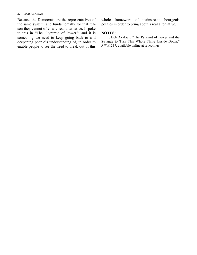#### 22 BOB AVAKIAN

Because the Democrats are the representatives of the same system, and fundamentally for that reason they cannot offer any real alternative. I spoke to this in "The "Pyramid of Power"<sup>1</sup> and it is something we need to keep going back to and deepening people's understanding of, in order to enable people to see the need to break out of this

whole framework of mainstream bourgeois politics in order to bring about a real alternative.

#### **NOTES:**

1. Bob Avakian, "The Pyramid of Power and the Struggle to Turn This Whole Thing Upside Down," *RW* #1237, available online at revcom.us.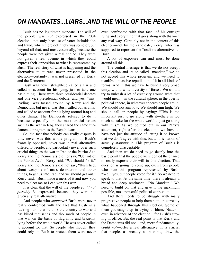## *ON MANDATES...LIARS...AND THE WILL OF THE PEOPLE*

Bush has no legitimate mandate. The will of the people was *not* expressed in the 2004 election—not only because of voter intimidation and fraud, which there definitely was some of, but beyond all that, and most essentially, because the people were not given a real choice. They were not given a real avenue in which they could express their opposition to what is represented by Bush. The real story of what is happening and the alternative to it was never presented in the election—certainly it was not presented by Kerry and the Democrats.

Bush was never straight-up called a liar and called to account for his lying, just to take one basic thing. There were three presidential debates and one vice-presidential debate, and yes, "misleading" was tossed around by Kerry and the Democrats, but never was Bush called out as a liar and called to account for his lying around Iraq and other things. The Democrats refused to do it because, especially on the most crucial issues such as the war in Iraq, they shared the same fundamental program as the Republicans.

So, the fact that nobody can really dispute is this: never was this whole program of Bush's frontally opposed, never was a real alternative offered to people, and particularly never over such crucial things as the war in Iraq or the Patriot Act. Kerry and the Democrats did not say, "Get rid of the Patriot Act"—Kerry said, "We should fix it." Kerry and the Democrats did not say, "Bush lied, about weapons of mass destruction and other things, to get us into Iraq, and we should get out." Kerry said, "Bush made a mess of it and now you need to elect me so I can win this war."

It is clear that the will of the people *could not possibly be* expressed, because they were not given any real alternative.

And people who *supported* Bush were never really confronted with the fact that Bush is a fucking liar—that he took the country to war and has killed thousands and thousands of people in that war on the basis of flagrantly and brazenly lying before the whole world. He was never called to account for that. So people who thought they could rely on Bush to protect them were never

even confronted with that fact—of his outright lying and everything that goes along with that—in any real way. Certainly not in the context of this election—not by the candidate, Kerry, who was supposed to represent the "realistic alternative" to Bush.

A lot of exposure can and must be done around all this.

The central message is that we do not accept this election and its so-called "mandate," we do not accept this whole program, and we need to manifest a massive repudiation of it in all kinds of forms. And in this we have to build a very broad unity, with a wide diversity of forces. We should try to unleash a lot of creativity around what that would mean—in the cultural sphere, in the overtly political sphere, in whatever spheres people are in. We should not aim low. We should aim high. We should call on people by saying: "This is too important just to go along with it—there is too much at stake for the whole world to just go along with this." As we pointed out in our Party's statement, right after the election, $\frac{1}{x}$  we have to have not just the attitude of letting it be known that we don't agree with this, but an orientation of actually *stopping* it. This program of Bush's is completely unacceptable.

And then we do need to go deeply into the basic point that the people were denied the chance to really express their will in this election. That question is going to come up, even from people who hate this program represented by Bush: "Well, yes, but people voted for it." So we need to speak to that. At the same time, there is already a broad and deep sentiment—"No Mandate!" We need to build on that and give it the maximum possible, most powerful political expression.

And there needs to be struggle with many progressive people to help them sum up correctly what happened through this election. Some of them got caught up in trying to blame Nader even in advance of the election—for Bush's staying in office. But the real point is that Kerry and the Democrats did not—and, more fundamentally, *could not*—offer a real alternative. It is crucial that people, as broadly as possible, draw the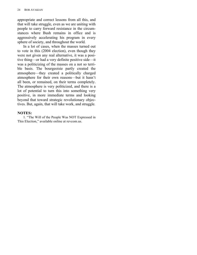appropriate and correct lessons from all this, and that will take struggle, even as we are uniting with people to carry forward resistance in the circumstances where Bush remains in office and is aggressively accelerating his program in every sphere of society, and throughout the world.

In a lot of cases, when the masses turned out to vote in this (2004 election), even though they were not given any real alternative, it was a positive thing—or had a very definite positive side—it was a politicizing of the masses on a not so terrible basis. The bourgeoisie partly created the atmosphere—they created a politically charged atmosphere for their own reasons—but it hasn't all been, or remained, on their terms completely. The atmosphere is very politicized, and there is a lot of potential to turn this into something very positive, in more immediate terms and looking beyond that toward strategic revolutionary objectives. But, again, that will take work, and struggle.

#### **NOTES:**

1. "The Will of the People Was NOT Expressed in This Election," available online at revcom.us.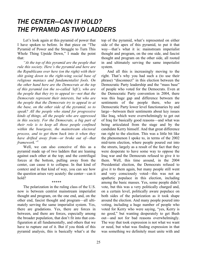## *THE CENTER—CAN IT HOLD? THE PYRAMID AS TWO LADDERS*

Let's look again at this pyramid of power that I have spoken to before. In that piece on "The Pyramid of Power and the Struggle to Turn This Whole Thing Upside Down," I made the point that:

*"At the top of this pyramid are the people that rule this society. Here's the pyramid and here are the Republicans over here (on the right) with their shit going down to the right-wing social base of religious maniacs and fundamentalist fools. On the other hand here are the Democrats at the top of this pyramid (on the so-called 'left'), who are the people that they try to appeal to—not that the Democrats represent their interests, but who are the people that the Democrats try to appeal to at the base, on the other side of the pyramid, so to speak? All the people who stand for progressive kinds of things, all the people who are oppressed in this society. For the Democrats, a big part of their role is to keep all those people confined within the bourgeois, the mainstream electoral process, and to get them back into it when they have drifted away from—or broke out of—that framework."*<sup>1</sup>

Well, we can also conceive of this as a pyramid made up of two ladders that are leaning against each other at the top; and the centrifugal forces at the bottom, pulling away from the center, can cause it to collapse. In that kind of context and in that kind of way, you can see how the question arises very acutely: the center—can it hold?

#### \*\*\*\*\*

The polarization in the ruling class of the U.S. now is between centrist mainstream imperialist thought and program, on the one end, and, on the other end, fascist thought and program—all ultimately serving the same imperialist system. Yes, there are gradations. Yes, there are forces in between, and there are forces, especially among the broader population, that don't fit into that configuration at all fundamentally, and others that we have to rupture out of it. But if you think of this pyramid analysis, this is basically what's at the

top of the pyramid, what's represented on either side of the apex of this pyramid, to put it that way—that's what it is: mainstream imperialist thought and program, on the one side, and fascist thought and program on the other side, all rooted in and ultimately serving the same imperialist system.

And all this is increasingly moving to the right. That's why you had such a (to use their phrase) "disconnect" in this election between the Democratic Party leadership and the "mass base" of people who voted for the Democrats. Even at the Democratic Party convention in 2004, there was this huge gap and difference between the sentiments of the people there, who are Democratic Party lower level functionaries by and large—between their sentiments about key issues like Iraq, which were overwhelmingly to get out of Iraq for basically good reasons—and what was being articulated from the stage and by the candidate Kerry himself. And that great difference ran right to the election. This was a little bit like the phenomenon I spoke to, in terms of the 2002 mid-term election, where people poured out into the streets, largely as a result of the fact that they were desperate to have some way to oppose the Iraq war and the Democrats refused to give it to them. Well, this time around, in the 2004 Presidential election, the Democrats refused to give it to them again, but many people still went and very consciously voted—this was not an apathetic populace in this election, including among the basic masses. Yes, some people didn't vote, but this was a very politically charged and, on a certain level, politically aware populace on both sides of the polarization as it took shape around the election. And many people poured into voting, including a huge number of people who voted for Kerry who were saying, "yes, Kerry is no good," but wanting desperately to get Bush out—and not for bad reasons overwhelmingly. The way that took expression is not what we want or need, but what was finding expression in that was something we definitely must unite with and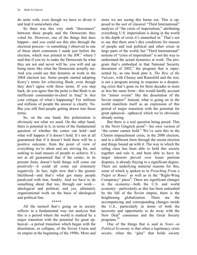do unite with, even though we have to divert it and lead it somewhere else.

So there was this very stark "disconnect" between these people and the Democrats they voted for. However, one of the things that does happen—and you could see this also through the electoral process—is something I observed in one of those short comments I made just before the election, which was printed in the  $RW<sup>2</sup>$  where I said that if you try to make the Democrats be what they are not and never will be, you will end up being more like what the Democrats actually are. And you could see that dynamic at work in the 2004 election too. Some people started adopting Kerry's terms for criticizing Bush, even though they don't agree with those terms. If you step back, do you agree that the point is that Bush is an inefficient commander-in-chief in Iraq? Is *that* your critique of what's happening? For millions and millions of people the answer is clearly: No. But you still find people getting drawn into those terms.

So, on the one hand, this polarization is obviously not what we need. On the other hand, there is potential in it, in terms of the fundamental question of whether the center can hold—and what will happen if it doesn't hold. It's not at all guaranteed that if it doesn't hold there will be a positive outcome, from the point of view of everything we're about and are striving for, and seeking to lead masses of people to achieve. It's not at all guaranteed that if the center, in its present form, doesn't hold things will come out positively—it could all come out extremely negatively. In fact, right now that's the greater likelihood—and that's what got many people paralyzed with fear, frankly. And we have to do something about that too, through our work ideological and political, and yes, ultimately organizational work on the basis of ideological and political line.

All the turmoil that's going on in society reflects in a fundamental way our analysis that this is a period where the world is marked by a major transition with the potential for great upheaval—a period transition which began with the dissolution, or collapse, of the Soviet Union and its empire at the beginning of the 1990s. More and

\*\*\*\*\*

more we are seeing this borne out. This is opposed to the sort of classical "Third International" analysis of "the crisis of imperialism," attributing everything U.S. imperialism is doing in the world to the depth of crisis it's enmeshed in.<sup>3</sup> That's not to say that there aren't dire conditions for masses of people and real political and other crises in large parts of the world, but "Third International" notions of "crisis of imperialism" is not the way to understand the actual dynamics at work. The program that's embodied in that National Security  $\alpha$  document of 2002,<sup>4</sup> the program that is represented by, as one book puts it, *The Rise of the Vulcans*, with Cheney and Rumsfeld and the rest, is not a program arising in response to a deepening crisis that's gone on for three decades in more or less the same form—this would hardly account for "minor events" like the dissolution of the Soviet empire!<sup>5</sup> Instead, what is going on in the world manifests itself as an expression of this period of major transition with the potential for great upheaval—upheaval which we're obviously already seeing.

But there is a real question being posed: This is the Newt Gingrich point<sup>6</sup>—his own version of "the center cannot hold." We've seen this in the Clinton impeachment crisis, in the 2000 election, and in a different form through the recent election and things bound up with it. The way in which the ruling class has been able to hold this society together and rule it, and been able to have its larger interests prevail over lesser partisan disputes, is already fraying to a significant degree. There are underlying material reasons for this, some of which is spoken to in *Preaching From a Pulpit of Bones*<sup> $7$ </sup> as well as in the "Right-Wing" Conspiracy" piece $8$ : There are significant changes in the economy—both the U.S. and world economy—particularly as this has been unleashed by the fall of the Soviet empire, there is the heightening globalization. There are the accompanying and corresponding changes inside the U.S., particularly in terms of both the necessity and opportunity to do away with the New Deal<sup>9</sup> consensus and the Great Society programs. 10

One of the things that is said in *Notes on Political Economy* is that when a legitimacy crisis occurs, when the "glue" that holds society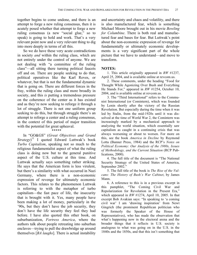together begins to come undone, and there is an attempt to forge a new ruling consensus, then it is acutely posed whether that attempt to forge a new ruling consensus (a new "social glue," so to speak) is going to hold and work. That's a very relevant point now and a very relevant thing to dig into more deeply in terms of all this.

So we do have these very acute contradictions in society *and* within the ruling class, which are not entirely under the control of anyone. We are not dealing with "a committee of the ruling class"—all sitting there turning political faucets off and on. There are people seeking to do that, political operatives like the Karl Roves, or whatever, but that is not the fundamental dynamic that is going on. There are different forces in the fray, within the ruling class and more broadly in society, and this *is* putting a tremendous pressure on the coherence of the center as it has existed and as they're now seeking to reforge it through a lot of struggle. There is not one uniform group seeking to do this, but through struggle there's an attempt to reforge a center and a ruling consensus, in the context of this period of major transition with the potential for great upheaval.

#### \*\*\*\*\*

In "GO&GS" (*Great Objectives and Grand* Strategy)<sup>11</sup> I quoted Edward Luttwak's book *Turbo Capitalism*, speaking not so much to the religious fundamentalist aspect of what the ruling class is doing now but to the general punitive aspect of the U.S. culture at this time. And Luttwak actually says something rather striking. He says that the American form is less virulent, but there's a similarity with what occurred in Nazi Germany, where there is a non-economic expression of revenge for ultimately economic factors. This relates to the phenomenon Luttwak is referring to with the metaphor of turbo capitalism—the fast pace of life, the insecurity that is brought with it. Yes, many people have been making a lot of money, particularly in the '90s, but they don't have the job security, they don't have the life security they feel they had before. I have also quoted this other book, on suburbanization, *Fortress America*, where the authors talk about people retreating into suburban enclaves—trying to pull the drawbridge up around themselves [*BA laughs*]. There is actual instability and uncertainty and chaos and volatility, and there is also manufactured fear, which is something Michael Moore brought out in his movie *Bowling for Columbine*. There is both real and manufactured fear and bases for fear. But Luttwak's point about the non-economic expression of revenge for fundamentally or ultimately economic developments is a very significant part of the whole picture that we have to understand—and move to transform.

#### **NOTES:**

1. This article originally appeared in *RW* #1237, April 25, 2004, and is available online at revcom.us.

2. These comments, under the heading "Food for Thought While Agonizing Over Bush and Everything He Stands For," appeared in *RW* #1254, October 10, 2004, and is available online at revcom.us.

3. The "Third International" refers to the Communist International (or Comintern), which was founded by Lenin shortly after the victory of the Russian Revolution. But especially during the time when it was led by Stalin, from the mid-1920s until it was dissolved at the time of World War 2, the Comintern was increasingly marked by a mechanical approach to analyzing the world situation, which essentially saw capitalism as caught in a continuing crisis that was always worsening or about to worsen. For more on this, see the book *America in Decline* by Raymond Lotta (Banner Press, 1984) and the RCP's *Notes on Political Economy: Our Analysis of the 1980s, Issues of Methodology, and the Current Situation* (RCP Publications, 2000).

4. The full title of the document is "The National Security Strategy of the United States of America, September 2002."

5. The full title of the book is *The Rise of the Vulcans: The History of Bush's War Cabinet*, by James Mann.

6. A reference to this is in a previous excerpt in this pamphlet, "The Coming Civil War and Repolarization for Revolution in the Present Era," which appeared in *RW* #1274, April 10, 2005. In that excerpt Bob Avakian says: "In speaking to 'a coming civil war' I am 'drawing inspiration' from Newt Gingrich (the prominent Republican politician who was formerly the Speaker of the House of Representatives), who has made the observation that what's happening now in the electoral arena and the broader things that it reflects in U.S. society is analogous to what was going on in the U.S. in the 1840s and the 1850s, and that this isn't something that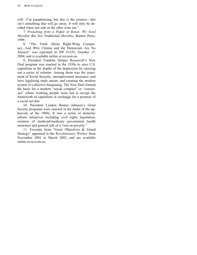will—I'm paraphrasing, but this is the essence—this isn't something that will go away. It will only be decided when one side or the other wins out."

7. *Preaching from a Pulpit of Bones: We Need Morality But Not* Traditional *Morality*, Banner Press, 1999.

8. "The Truth About Right-Wing Conspiracy...And Why Clinton and the Democrats Are No Answer" was reprinted in *RW* #1255, October 17, 2004, and is available online at revcom.us.

9. President Franklin Delano Roosevelt's New Deal program was enacted in the 1930s to save U.S. capitalism in the depths of the depression by carrying out a series of reforms. Among them was the enactment of Social Security, unemployment insurance, and laws legalizing trade unions and creating the modern system of collective bargaining. The New Deal formed the basis for a modern "social compact" or "consensus" where working people were led to accept the framework of capitalism in exchange for a promise of a social net that

10. President Lyndon Baines Johnson's Great Society programs were enacted in the midst of the upheavals of the 1960s. It was a series of domestic reform initiatives including civil rights legislation, creation of medicaid/medicare government health insurance and general talk of a "war on poverty."

11. Excerpts from "Great Objectives & Grand Strategy" appeared in the *Revolutionary Worker* from November 2001 to March 2002, and are available online at revcom.us.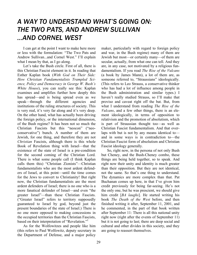## *A WAY TO UNDERSTAND WHAT'S GOING ON: THE TWO PATS, AND ANDREW SULLIVAN ...AND CORNEL WEST*

I can get at the point I want to make here more or less with the formulation: "The Two Pats and Andrew Sullivan...and Cornel West." I'll explain what I mean by that, as I go along.

Let's take the Bush circle. First of all, there is this Christian Fascist element in it. In reading that Esther Kaplan book (*With God on Their Side: How Christian Fundamentalists Trampled Science, Policy and Democracy in George W. Bush's White House*), you can really see this: Kaplan examines and amplifies further how deeply this has spread—and is being spread even as we speak—through the different agencies and institutions of the ruling structures of society. This is very real, it's very far along and it's very deep. On the other hand, what has actually been driving the foreign policy, or the international dimension, of the Bush regime? It has been not so much the Christian Fascists but this "neocon" ("neoconservative") bunch. A number of them are Jewish, for one thing, and therefore they are not *Christian* Fascists, although there is this whole Book of Revelation thing with Israel—that the existence of the state of Israel is a pre-condition for the second coming of the Christian Lord. There is what some people call (I think Kaplan calls them this) "Christian Zionists"—Christian fundamentalists who are the most ardent defenders of Israel, at this point—until the time comes for the Jews to convert to Christianity! But right now, the Christian fundamentalists are the most ardent defenders of Israel; there is no one who is a more fanatical defender of Israel—and even "the greater Israel"—than these Christian Fascists. ("Greater Israel" refers to territory supposedly guaranteed to Israel by god, beyond just the present boundaries of the state of Israel.) There is no one more opposed to making concessions in the occupied territories than the Christian Fascists, based on their interpretation of "Revelation."<sup>1</sup>

As for the Wolfowitzes and people like him (this refers to Paul Wolfowitz, deputy secretary in the Department of Defense, and a major policy maker, particularly with regard to foreign policy and war, in the Bush regime) many of them are Jewish but most—or certainly many—of them are secular, actually, from what one can tell. And they are, in any case, not motivated by a religious fundamentalism. If you read *The Rise of the Vulcans* (a book by James Mann), a lot of them are, as someone referred to, "Straussians" ideologically. (This refers to Leo Strauss, a conservative thinker who has had a lot of influence among people in the Bush administration and similar types.) I haven't really studied Strauss, so I'll make that proviso and caveat right off the bat. But, from what I understand from reading *The Rise of the Vulcans*, and a few other things, there is an element ideologically, in terms of opposition to relativism and the promotion of absolutism, which is part of Straussian thought too—as well as Christian Fascist fundamentalism. And that overlaps with but is not by any means identical to and in some ways is in contradiction to—the Christian Fascist form of absolutism and Christian Fascist ideology generally.

So, right now, in the persona of not only Bush but Cheney, and the Bush-Cheney combo, these things are being held together, so to speak. And right now their unity and identity is much greater than their opposition. But they are not identical, not the same. So that's one thing to understand. The dynamics are more complex than that. Pat Buchanan comes up here, in that I've given him credit previously for being far-seeing. He's not the only one, but he was prescient, we should give him credit [*BA laughs*]. He started writing his book *The Death of the West* before, and then finished writing it after, September 11, 2001, and he commented, in the part of that book written after September 11: There is all this national unity right now (right after the events of September 11) but it is not going to last; there are deep social and cultural and other divides in this society, and they are going to reassert themselves.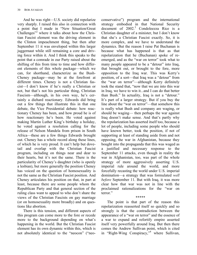And he was right—U.S. society did repolarize very sharply. I raised this also in connection with a point that I made in "New Situation/Great Challenges"<sup>2</sup> where it talks about how the Christian Fascist element was the driving element in the Clinton impeachment thing, but then after September 11 it was enveloped within this larger juggernaut while still remaining a core and driving force within it. And I think this speaks to the point that a comrade in our Party raised about the shifting of this from time to time and how different elements of this whole package—which we can, for shorthand, characterize as the Bush-Cheney package—may be at the forefront at different times. Cheney is not a Christian fascist—I don't know if he's really a Christian or not, but that's not his particular thing, Christian Fascism—although, in his own way, he's certainly a diehard reactionary. Edwards did bring out a few things that illustrate this in that one debate, the Vice Presidential debate: how reactionary Cheney has been, and how proud he is of how reactionary he's been. He voted against making Martin Luther King's birthday a holiday, he voted against a resolution calling for the release of Nelson Mandela from prison in South Africa—these are a few things Edwards brought out. Cheney has a whole record along these lines, of which he is very proud. It can't help but dovetail and overlap with the Christian Fascist program, including on things near and dear to their hearts, but it's not the same. There is the particularity of Cheney's daughter (who is openly a lesbian), but more generally the position Cheney has voiced on the question of homosexuality is not the same as the Christian Fascist position. And Cheney articulates his position on that, in part at least, because there are some people whom the Republican Party and that general section of the ruling class want to appeal to who don't share the views of the Christian Fascists on gay marriage (or on homosexuality more broadly) and on questions like abortion.

There is this tension, and different aspects of this program can come more to the fore or recede more to the background depending on what's happening in the world. But the Christian Fascist element has its own dynamic within this, which is not absolutely identical to the "neocon" ("neoconservative") program and the international strategy embodied in that National Security document of  $2002<sup>3</sup>$  Condoleezza Rice is a Christian daughter of a minister, but I don't know that she's a Christian Fascist exactly. So, it is more complex, and we have to understand the dynamics. But the reason I raise Pat Buchanan is because what has happened is that as that repolarization that he (Buchanan) spoke of reemerged, and as the "war on terror" took what to many people appeared to be a "detour" into Iraq, that brought out, or brought to the fore, more opposition to the Iraq war. This was Kerry's position, of a sort—that Iraq was a "detour" from the "war on terror"—although Kerry definitely took the stand that, "now that we are into this war in Iraq, we have to win it...and I can do that better than Bush." In actuality, Iraq is not a "detour." It's part of a larger strategy. But if you buy the line about the "war on terror"—that somehow this is really what Bush and company are waging, or should be waging— then perhaps the war against Iraq doesn't make sense. And that's partly why the repolarization has asserted itself too, because a lot of people, including some people who should have known better, took the position, if not of supporting at least of standing aside from and not opposing, the war in Afghanistan, because they bought into the propaganda that this was waged as a justified and necessary response to the September 11 attacks, even though in reality the war in Afghanistan, too, was part of the whole strategy of more aggressively asserting U.S. imperial rule around the world, and more forcefully recasting the world under U.S. imperial domination—a strategy that was formulated *well before* September 11. But with Iraq, it was more clear how that war was not in line with the proclaimed rationalizations for the "war on terror."

The point is that part of the reason this repolarization reasserted itself so quickly and so strongly is that the contradiction between the appearance of a "war on terror" and the essence of a war to expand and refortify empire asserted itself very powerfully around Iraq. But then there comes the Andrew Sullivan point, which is cited in "Right-Wing Conspiracy," <sup>4</sup> where Sullivan,

\*\*\*\*\*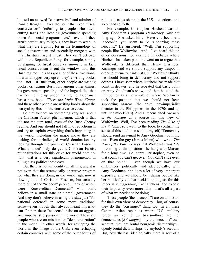himself an avowed "conservative" and admirer of Ronald Reagan, makes the point that even "fiscal conservatives" (referring to people who favor cutting taxes and keeping government spending down for social programs, etc.)—even, if they aren't particularly religious, they have to wrap up what they are fighting for in the terminology of social conservatism and essentially merge it with this Christian Fascist thrust. They can't get over within the Republican Party, for example, simply by arguing for fiscal conservatism—and in fact, fiscal conservatism is out the window with this Bush regime. This has got a lot of these traditional libertarian types very upset; they're writing books, too—not just Buchanan, other people are writing books, criticizing Bush for, among other things, his government spending and the huge deficit that has been piling up under his regime. Buchanan has a new book, *Where the Right Went Wrong*, and these other people are writing books about the betrayal by Bush of the conservative cause.

So that touches on something very real about the Christian Fascist phenomenon, which is that it's not the sum total, even of the Bush-Cheney regime. And one should not fall into reductionism and try to explain everything that's happening in the world, including the major move they are making for unchallenged world domination, by looking through the prism of Christian Fascism. What you definitely do get is Christian Fascist rationalizations for this drive for world domination—that is a very significant phenomenon in ruling class politics these days.

But there is not an identity in all this, and it is not even that the strategically operative program for what they are doing in the world right now is flowing out of Christian Fascism, but actually more out of the "neocon" people, many of whom were "Rooseveltian Democrats" who don't believe in a small state or a small government. And they don't believe in using the state just "for national defense" in some more traditional sense—even though that always meant imperialism. Rather, these "neocons" insist on an aggressive imperialist expansion in the world. These are people who are on mission for "democratization" in the world—in other words, for reshaping the world in the image of the U.S., even reshaping certain countries with some of the outer forms of rule as it takes shape in the U.S.—elections, and so on and so forth.

For example, Christopher Hitchens was on Amy Goodman's program *Democracy Now* not long ago. She asked him, "Have you become a 'neocon'?—you seem to be supporting these neocons." He answered, "Well, I'm supporting people like Wolfowitz." And—I've heard this on other occasions, for example in debates where Hitchens has taken part—he went on to argue that Wolfowitz is different than Henry Kissinger: Kissinger said we should support any despot in order to pursue our interests, but Wolfowitz thinks we should bring in democracy and not support despots. I have seen where Hitchens has made that point in debates, and he repeated that basic point on Amy Goodman's show, and then he cited the Philippines as an example of where Wolfowitz took the position that we should not keep supporting Marcos (the brutal pro-imperialist dictator in the Philippines, in the 1970s and up until the mid-1980s). And Hitchens cited *The Rise of the Vulcans* as a source for this view of Wolfowitz. Well, I've been reading *The Rise of the Vulcans*, so I went to the book to confirm my sense of this, and then said to myself, "Somebody should send an e-mail to Amy Goodman pointing out: 'Even the guy (James Mann) who wrote *The Rise of the Vulcans* says that Wolfowitz was *late* in coming to this position—he hung with Marcos for a long time. So, sorry Christopher, even on that count you can't get over. You can't slide even on that point.' " Even though we have our differences, politically and ideologically, with Amy Goodman, she does a lot of very important exposure, and we should be helping people like her politically combat hackish apologists for this imperialist juggernaut, like Hitchens, and expose their hypocrisy even more fully. That's all a part of what we needed to be doing.

These people (the "neocons") are on a mission for their own view of democracy—but, of course, they do the "Kissinger" thing too. In all these Central Asian republics where U.S. military forces are setting up bases—those are not democracies [*BA laughs*]—by the "neocons" own account, they are brutal bourgeois dictatorships... openly brutal dictatorships, by anybody's account. But, nevertheless, ideologically there is sort of a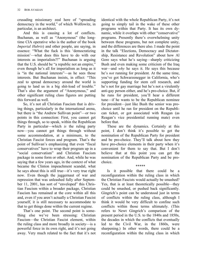crusading missionary zeal here of "spreading democracy in the world," of which Wolfowitz, in particular, is an architect.

And this is causing a lot of conflicts. Buchanan, as well as "Anonymous" (the longtime CIA operative who is the author of the book *Imperial Hubris*) and other people, are saying, in essence: "What the fuck is this 'democratizing mission'—what does this have to do with our interests as imperialists?!" Buchanan is arguing that the U.S. should be "a republic not an empire," even though he's all for imperialism as long as it is "in the national interests"—as he sees those interests. But Buchanan insists, in effect: "This zeal to spread democracy around the world is going to land us in a big shit-load of trouble." That's also the argument of "Anonymous," and other significant ruling class figures are putting this forward as well.

So, it's not all Christian Fascism that is driving things, particularly in the international arena, but there is "the Andrew Sullivan point"—or two points in this connection: First, you cannot get things through, so to speak, within the Republican Party in particular—which *is* the ruling party now—you cannot get things through without some accommodation, at a minimum, to the Christian Fascist forces and program. That's the point of Sullivan's emphasizing that even "fiscal conservatives" have to wrap their program up in a "social conservatism" and Christian Fascism package in some form or other. And, while he was saying that a few years ago, in the context of what became the Clinton impeachment scandal, what he says about this is still true—it's very true right now. Even though the juggernaut of war and repression that was unleashed fully after September 11, 2001, has sort of "enveloped" this Christian Fascism within a broader package, Christian Fascism has remained at the core within all this and, even if you aren't actually a Christian Fascist yourself, it is still necessary to accommodate to that to get things done within the current regime.

That's one point. The second point is something else we've been stressing: Christian Fascism—the Christian Fascist element, within the ruling class and more broadly in society—is a powerful force in its own right, and it's not going away. Very much related to the fact that it's not identical with the whole Republican Party, it's not going to simply tail in the wake of these other programs within that Party. It has its own dynamic, while it overlaps with other "conservative" programs. Presently there's overwhelming unity between these programs, but not complete unity, and the differences are there also. I made the point in the talk "Elections, Democracy and Dictatorship, Resistance and Revolution" about how Al Gore says what he's saying—sharply criticizing Bush and even making some criticism of the Iraq war—and *why* he says it. He says this because he's *not* running for president. At the same time, you've got Schwarzenegger in California, who's supporting funding for stem cell research, and he's not for gay marriage but he's not a virulently anti-gay person either, and he's pro-choice. But, if he runs for president, you'll hear a different tune—if he wants to be the Republican nominee for president—just like Bush the senior was prochoice until he ran for president on the Republican ticket, or got associated with Reagan (as Reagan's vice presidential running mate) even before that.

These are the dynamics. Certainly at this point, I don't think it's possible to get the nomination of the Republican Party for president and be pro-choice. They'll talk about how they have pro-choice elements in their party when it's convenient for them to say that. But I don't believe that at this point you can get the nomination of the Republican Party and be prochoice.

\*\*\*\*\*

Is it possible that there could be a reconfiguration within the ruling class in which the Christian Fascists would actually be smashed? Yes, that is at least theoretically possible—they could be smashed, or pushed back significantly. Gingrich's point can be understood just in terms of conflicts within the ruling class, although I think it would be very difficult to confine such conflicts within those terms ultimately. (This refers to Newt Gingrich's comparison of the present period in the U.S. to the 1840s and 1850s, the decades in which the conflicts that eventually led to the Civil War, in the 1860s, were sharpening.) In other words, there could be a reconfiguration within the ruling class in which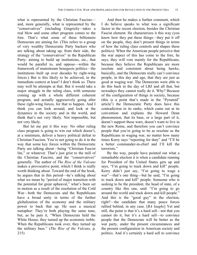what is represented by the Christian Fascists and, more generally, what is represented by the "conservatives" (including Gingrich)—takes a real blow and some other program comes to the fore. That's what some of these billionaire Democrats are aiming for. (This refers to a group of very wealthy Democratic Party backers who are talking about taking up, from their side, the strategy of the "conservatives" in the Republican Party: aiming to build up institutions, etc., that would be parallel to, and oppose—within the framework of mainstream bourgeois politics—the institutions built up over decades by right-wing forces.) But is this likely to be achieved, in the immediate context at least? I don't think so. There may well be attempts at that. But it would take a major struggle in the ruling class, with someone coming up with a whole different coherent program, and actually aggressively going after these right-wing forces, for that to happen. And I think you can look around, and look at the dynamics in the society and in the world, and think that's not very likely. Not impossible, but not very likely.

But let me put it this way: No other ruling class program is going to win out which doesn't, at a minimum, deliver a heavy political defeat to Christian Fascism. You're not going to do it in the way that some key forces within the Democratic Party are talking about—being "Christian Fascist lite," or whatever. That's just grist to the mill of the Christian Fascists, and the "conservatives" generally. The author of *The Rise of the Vulcans* makes a provocative point, which I think is really worth thinking about. Toward the end of the book, he argues that in this period—he's talking about what we mean by "period of major transition with the potential for great upheaval," what's been set in motion as a result of the resolution of the Cold War—both the Democrats and the Republicans have a broad unity in terms of the further globalization of the economy and the military power to back that up. He uses a musical metaphor: They're both playing the same tune, but, as he puts it, "When Democrats held the White House, they turned up the economic treble. When the Republicans took over, they turned up the military bass." (*The Rise of the Vulcans*, p. 215)

And then he makes a further comment, which I do believe speaks to what was a significant factor in the recent election, besides the Christian Fascist element. He characterizes it this way (you know how they put these things—they put it off on the people, they don't present things in terms of how the ruling class controls and shapes these politics): When the American people perceive that the war aspect of this has come to the fore, he says, they will vote mainly for the Republicans, because they believe the Republicans are more resolute and consistent about being hawks, basically, and the Democrats really can't convince people, in this day and age, that they are just as good at waging war. The Democrats were able to do this back in the day of LBJ and all that, but nowadays they cannot really do it. Why? Because of the configuration of things in society, because (this is a point that's made in the "Pyramid" article<sup>5</sup>) the Democratic Party does have this contradiction in its ranks, which came out at its convention and explains the Howard Dean phenomenon, that its base, or a large part of it, doesn't support these wars, doesn't want to live in the new Rome, and therefore you can't convince people that you're going to be as resolute as the Republicans in waging war, no matter how many times Kerry says "reporting for duty" and "I'll be a better commander-in-chief and I'll kill the terrorists."

By the way, people have pointed out what a remarkable election it is when a candidate running for President of the United States gets up and says, "I'm going to track down and kill" people. Kerry didn't just say, "I'm going to wage a war"—that's one thing—but he said, "I'm going to track down and kill" people. Someone who is seeking to be the president, the head of state, of a country like this one, said: "I'm going to go around the world and track down and kill people." And this is the "good guy" in the election, right?—the candidate that many peace forces rallied behind, in any case. [*BA laughs*] Yet and still, the point is that it's a hard sell—not that you cannot do it, but it's a hard sell—to convince people that the Democrats will be better as the war party, under the present circumstances and the present configuration in American society and politics. And it's certainly a hard sell to convince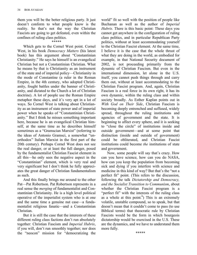them you will be the better religious party. It just doesn't conform to what people know is the reality. So that's not the way the Christian Fascists are going to get defeated, even within the confines of ruling class politics.

### \*\*\*\*\*

Which gets to the Cornel West point. Cornel West, in his book *Democracy Matters* (his latest book) has this argument about "Constantinian Christianity." He says he himself is an evangelical Christian but not a Constantinian Christian. What he means by that is Christianity as an instrument of the state and of imperial policy—Christianity in the mode of Constantine (a ruler in the Roman Empire, in the 4th century, who adopted Christianity, fought battles under the banner of Christianity, and dictated to the Church a lot of Christian doctrine). A lot of people use the Roman Empire metaphor these days, and it's very apt in a lot of ways. So Cornel West is talking about Christianity as an instrument of state power and of imperial power when he speaks of "Constantinian Christianity." But I think he misses something important here, because he is an evangelical Christian himself, at the same time as he describes himself sometimes as a "Gramscian Marxist" (referring to the ideas of Antonio Gramsci, a somewhat "unorthodox" Italian Marxist in the first part of the 20th century). Perhaps Cornel West does not see the real danger, or at least the full danger, posed by the fundamentalist Christian Fascist element in all this—he only sees the negative aspect in the "Constantinian" element, which is very real and very significant but I don't think he fully appreciates the great danger of Christian fundamentalism as such.

And this finally brings me around to the other Pat—Pat Robertson. Pat Robertson represents in a real sense the *merging* of fundamentalist and Constantinian Christianity. He is a high level political operative of the imperialist system who is at one and the same time a genuine nut case—a fundamentalist religious fanatic—and a Constantinian Christian.

But it is still the case that the interests of these different ruling class factions don't run absolutely together: Christian Fascism and *Imperial Hubris*, if you will, don't run smoothly together; nor does the "neocon" mission for "democratizing the world" fit so well with the position of people like Buchanan as well as the author of *Imperial Hubris*. There is this basic point: These days you cannot get anywhere in the configuration of ruling class politics, and in particular Republican Party politics, without at least accommodating yourself to the Christian Fascist element. At the same time, I believe it is the case that the whole thrust of what they are doing in the world, as embodied for example, in that National Security document of 2002, is not proceeding primarily from the dynamic of Christian Fascism. But even in the international dimension, let alone in the U.S. itself, you cannot push things through and carry them out, without at least accommodating to the Christian Fascist program. And, again, Christian Fascism is a real force in its own right, it has its own dynamic, within the ruling class and within society broadly. As Esther Kaplan points out in *With God on Their Side*, Christian Fascism is becoming deeply entrenched and suffused, widely spread, throughout the ruling institutions and agencies of government and the state. It is beginning to affect every sphere, and it is seeking to "close the circle" of institutions inside and outside government—and at some point that distinction (inside and outside of government) could be obliterated, and Christian Fascist institutions could become *the* institutions of state and government.

Now, some people will say that's crazy. How can you have science, how can you do NASA, how can you keep the population from becoming sick and dying if you interfere with science and medicine in this kind of way? But that's the "not a perfect fit" point. (This refers to the discussion, following the talk *Dictatorship and Democracy, and the Socialist Transition to Communism*, about whether the Christian Fascist program is a "perfect fit" with the interests of the ruling class as a whole at this point. $\overset{6}{\ }$ ) This is an extremely volatile, unstable compound, so to speak, but that doesn't mean that it couldn't come to pass (to use Biblical terms) that theocratic rule by Christian Fascists would be the form in which bourgeois dictatorship would be exercised in the U.S. These are the dynamics, and we have to understand them more fully.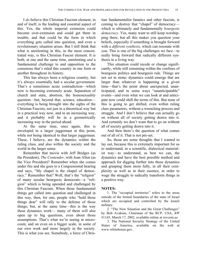I *do* believe this Christian Fascism element, in and of itself, is the leading and essential aspect of this. Yes, the whole imperial extension could become over-extension and could get them in trouble, and that could be the form in which everything gets called into question, and even a revolutionary situation arises. But I still think that what is unrelenting in this, in the most concentrated way, is this Christian Fascist element. It is both, at one and the same time, unrelenting *and* a fundamental challenge to and opposition to the consensus that's ruled this country in one form or another throughout its history.

This has always been a religious country, but it's always essentially had a secular government. That's a sometimes acute contradiction—which now is becoming extremely acute. Separation of church and state, abortion, the homosexuality question—but, beyond that, science, education everything is being brought into the sights of the Christian Fascists, not just in a theoretical way but in a practical way now, and in an increasing way, and it probably will be in a geometrically increasing way in the period ahead.

At the same time, once again, this is enveloped in a larger juggernaut at this point, while not being identical to that larger juggernaut. These, I believe, are the dynamics within the ruling class, and also within the society and the world in the larger sense.

Remember that movie with Jeff Bridges (as the President), *The Contender*, with Joan Allen (as the Vice President)? Remember when she comes under fire and she goes to a Congressional hearing and says, "My chapel is the chapel of democracy." Remember that? Well, that's the "religion" of many secular bourgeois democrats—a "religion" which is being upended and challenged by this Christian Fascism. When those fundamental things get called into question and challenged in this way, then, for one, people who "hold those things dear" will rally to the defense of those things; but, at the same time—this is the way these dynamics work— many of them will also open up to big questions, even about those assumptions. That's what we're seeing in microcosm, and on even on a bigger scale, in some of our own work and more largely in the society. This is what you see. Somebody, a force of Christian fundamentalist fanatics and other fascists, is coming to destroy that "chapel" of democracy which is ultimately and fundamentally *bourgeois democracy*. Yes, many want to still keep worshipping there, but all this makes you question your beliefs, especially if something is brought forward with a *different synthesis*, which can resonate with you. This is one of the big challenges we face—to really bring forward that radically different synthesis in a living way.

This situation could recede or change significantly, while still remaining within the confines of bourgeois politics and bourgeois rule. Things are not set in stone: dynamics could emerge that are larger than whatever is happening at a given time—that's the point about unexpected, unanticipated, and in some ways "unanticipatable" events—and even what we can look at and anticipate now could shift the terms of this. But none of this is going to get shifted, even within ruling class parameters, without a wrenching process and struggle. And I don't believe that can actually go on without all of society getting drawn into it. And certainly we don't want that to go on without all of society getting drawn into it.

And then there's the question of what comes out of all of it. That is not pre-set.

So, those are some thoughts that I wanted to lay out, because this is extremely important for us to understand, in a scientific, dialectical materialist way—to understand, as best we can, the dynamics and have the best possible method and approach for digging further into these dynamics and grasping them more fully, in all their complexity as well as in their essence, in order to wage the struggle to radically transform things in a positive way.

### **NOTES:**

1. The "occupied territories" refers to the areas outside of the formal boundaries of the state of Israel which are occupied and controlled by the Israeli military.

2. "The New Situation and the Great Challenges" by Bob Avakian, Chairman of the RCP, USA, *RW* #1143, March 17, 2002, available online at revcom.us

3. The National Security Strategy of the United States of America, available on the web at www.whitehouse.gov.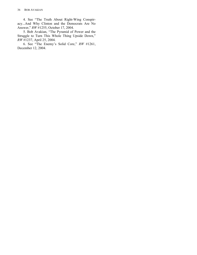4. See "The Truth About Right-Wing Conspiracy...And Why Clinton and the Democrats Are No Answer," *RW* #1255, October 17, 2004.

5. Bob Avakian, "The Pyramid of Power and the Struggle to Turn This Whole Thing Upside Down," *RW* #1237, April 25, 2004.

6. See "The Enemy's Solid Core," *RW* #1261, December 12, 2004.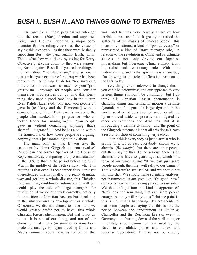# *BUSH I...BUSH II...AND THINGS GOING TO EXTREMES*

An irony for all these progressives who got into the recent (2004) election and supported Kerry—and Thomas Friedman (a major commentator for the ruling class) had the virtue of saying this explicitly—is that they were basically supporting Bush, the papa, against Bush, junior. That's what they were doing by voting for Kerry. Objectively, it came down to: they were supporting Bush I against Bush II. If you reduce things to the talk about "multilateralism," and so on, if that's what your critique of the Iraq war has been reduced to—criticizing Bush for "not involving more allies," in that war—so much for your "progressivism." Anyway, for people who consider themselves progressives but got into this Kerry thing, they need a good hard look in the mirror. Even Ralph Nader said, "My god, you people all gave in [to Kerry and the Democrats] without demanding anything." That was his answer to the people who attacked him—progressives who attacked Nader for running again—"you people gave in without demanding anything—that's shameful, disgraceful." And he has a point, within the framework of how these people are arguing. Anyway, that's just something to think about.

The main point is this: If you take the statement by Newt Gingrich (a "conservative" Republican and former Speaker of the House of Representatives), comparing the present situation in the U.S. to that in the period before the Civil War in the middle of the 19th century, what I'm arguing is that even if these imperialists don't get overextended internationally, in a really dramatic way and get into a whole disaster, this Christian Fascism thing could—not automatically will but could—play the role of "stage manager" for revolution, if we do our work correctly, not only in opposition to Christian Fascism but in relation to the situation and its development as a whole. Of course, we did not choose to have—and we would greatly prefer not to have—this whole Christian Fascist phenomenon. But that is not up to us—it is not of our doing, and not of our choosing. That's why (in some other remarks) I made the analogy to Japan invading China and Mao's comment about how, as terrible as that

was—and he was very acutely aware of how terrible it was and how it greatly increased the suffering of the masses of Chinese people—this invasion constituted a kind of "pivotal event," or represented a kind of "stage manager role," in relation to the revolution in China and its ultimate success in not only driving out Japanese imperialism but liberating China entirely from imperialist and reactionary rule. With that understanding, and in that spirit, this is an analogy I'm drawing to the role of Christian Fascism in the U.S. today.

Yes, things could intervene to change this you can't be determinist, and our approach to very serious things shouldn't be gimmicky—but I do think this Christian Fascist phenomenon is changing things and setting in motion a definite dynamic, which is part of a larger dynamic in the world, so it could be subsumed under or altered by or shoved aside temporarily or mitigated by other contradictions and dynamics. But it is introducing a definite dynamic—and the point of the Gingrich statement is that all this doesn't have a resolution short of something very radical.

I don't think everybody is just alarmist who is saying this. Of course, everybody knows we're alarmist [*BA laughs*], but there are other people out there saying this. To be serious, there is an alarmism you have to guard against, which is a form of instrumentalism: "If we can just scare people enough, then they will rally to our banner." That's what we're accused of, and we should not fall into that. We should make scientific analyses, not instrumentalist analyses like, "Oh good, now I can see a way we can swing people to our side." We shouldn't get into that kind of approach of: "let's look for something that can scare people enough that they will rally to us." But the point is, this is real what's happening. It's not accidental that some people are saying that this is like the period between the appointment of Hitler as Chancellor and the Reichstag fire (an event in Germany—the burning down of the parliament, or Reichstag, structures—which was used by the Nazis to consolidate power and outlaw and suppress opposition). It may not be exactly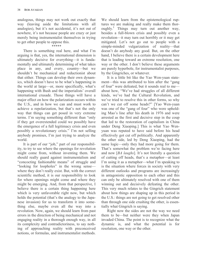analogous, things may not work out exactly that way (leaving aside the limitations with all analogies), but it's not accidental, it's not out of nowhere, it's not because people are crazy or just merely being instrumentalist themselves in trying to get other people to oppose this.

### \*\*\*\*\*

There is something real here, and what I'm arguing is that, yes, the international dimension is ultimately decisive for everything—it is fundamentally and ultimately determining of what takes place in any, and every, country—but we shouldn't be mechanical and reductionist about that either. Things can develop their own dynamics, which doesn't have to be what's happening in the world at large—or, more specifically, what's happening with Bush and the imperialists' overall international crusade. Those things will have a major effect on how the polarization occurs within the U.S., and in how we can and must work to achieve a repolarization, but that's not the only way that things can get posed in very extreme terms. I'm saying something different than "only if they get overextended could we possibly have the emergence of a full legitimacy crisis and even possibly a revolutionary crisis." I'm not selling anybody promises, I'm just trying to analyze the world.

It is part of our "job," part of our responsibility, to try to see where the openings for revolution might come from, without inventing them. We should really guard against instrumentalism and "concocting fashionable means" of struggle and "looking for loopholes" in the wrong sense where they don't really exist. But, with the correct scientific method, it is our responsibility to look for where openings might come and where they might be emerging. And, from that perspective, I believe there is a certain thing happening here which is very unfavorable right now, but which holds the potential (that's the analogy to the Japanese invasion) for us to transform it into something else, maybe even all the way into a revolution. Now, again, we should learn from past errors in the direction of being mechanical and not engaging reality in a thorough enough way, in all its complexity and contradictoriness, to say nothing of approaching reality with preconceived notions, or formulas, and instrumentalist methods.

We should learn from the epistemological ruptures we are making and really make them thoroughly.<sup>1</sup> Things may turn out another way, besides a full-blown crisis and possibly even a revolution—it may turn out horribly or it may get mitigated. Let's not go out to people with a simple-minded vulgarization of reality—that doesn't do anybody any good. But, on the other hand, I believe there is a certain development here that is leading toward an extreme resolution, one way or the other. I don't believe these arguments are purely hyperbole, for instrumentalist purposes, by the Gingriches, or whatever.

It is a little bit like the Yao Wen-yuan statement—this was attributed to him after the "gang of four" were defeated, but it sounds real to me about how, "We've had struggles of all different kinds, we've had the Cultural Revolution, and we've tried to resolve this in other forms, so why can't we cut off some heads?" [Yao Wen-yuan was one of the "gang of four" who were upholding Mao's line after his death in 1976 and were arrested as the first and decisive step in the coup that led to the restoration of capitalism in China under Deng Xiaoping.] This is what Yao Wenyuan was reputed to have said before his head effectively got cut off politically. And apparently the other side, led by Deng Xiaoping, had the same logic—only they had more going for them. That's somewhat the problem we're facing here and now [*BA laughs*]. It's not literally a question of cutting off heads, that's a metaphor—at least I'm using it as a metaphor—what I'm speaking to is the situation where forces in society with very different outlooks and programs are increasingly in antagonistic opposition to each other and this can only be ultimately resolved with one of them winning out and decisively defeating the other. This very much relates to the Gingrich statement about how things are shaping up in this period in the U.S.: things are not going to get resolved other than through one side crushing the other, is essentially what Gingrich is saying.

Right now the sides are not the way we need them to be—but neither were they when Japan invaded China. The point is to recognize what the dynamic is, and what the potential is for resolution, one way or the other.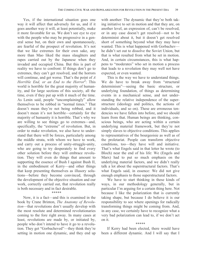Yes, if the international situation goes one way it will affect that adversely for us, and if it goes another way it will, at least potentially, make it more favorable for us. We don't see eye to eye with the people who may be progressive in a general sense but, on their own and spontaneously, are fearful of the prospect of revolution. It's not that we like extremes for their own sake, any more than Mao liked the mass slaughters and rapes carried out by the Japanese when they invaded and occupied China. But this is part of reality we have to confront: If things don't go to extremes, they can't get resolved, and the horrors will continue, and get worse. That's the point of *A Horrible End, or an End to the Horror*<sup>2</sup> : This world is horrible for the great majority of humanity, and for large sections of this society, all the time, even if they put up with it much of the time. As Lenin said, people "uncomplainingly" allow themselves to be robbed in "normal times." That doesn't mean they're not being robbed, and it doesn't mean it's not horrible—certainly for the majority of humanity it is horrible. That's why we are willing to see things go to extremes—and, specifically, the "extreme" of revolution. But, in order to make revolution, we also have to understand that there will be forces, particularly among the middle strata, with whom we have to work, and carry out a process of unity-struggle-unity, who are going to try desperately to find every other solution before they will embrace revolution. They will even do things that amount to supporting the essence of Bush I against Bush II, in the embodiment of Kerry—and other things that keep presenting themselves as illusory solutions—before they become convinced, through the development of the objective situation and our work, correctly carried out, that revolution really is both necessary and in fact desirable.

#### \*\*\*\*\*

Now, it is a fact—and this is examined in the book by Crane Brinton, *The Anatomy of Revolution*—that revolutions don't usually develop with the most resolute and determined revolutionaries coming to the fore right away. In many cases at least, revolutions are made by, or initiated by, people who don't intend to have it go to a revolution. They get "Gorbacheved"—they think they're setting in motion one dynamic, and they end up with another: The dynamic that they're both taking initiative to set in motion and that they are, on another level, an expression of, can't be resolved, or in any case doesn't get resolved—not to be determinist about it, but it doesn't get resolved short of something beyond what they may have wanted. This is what happened with Gorbachev he didn't set out to dissolve the Soviet Union, but that is what resulted from what he set in motion. And, in certain circumstances, this is what happens to "moderates" who set in motion a process that leads to a revolution they may well not have expected, or even wanted.

This is the way we have to understand things. We do have to break away from "structural determinism"—seeing the basic structure, or underlying foundation, of things as determining events in a mechanical sense, and not understanding the relative independence of the superstructure (ideology and politics, the actions of individuals, and so on). These are erroneous tendencies we have fallen into before, and we should learn from that. Human beings are thinking, conscious beings, who are acting within a certain underlying material framework, but they're not simply slaves to objective conditions. This applies to representatives of the bourgeoisie as well as of the proletariat. People can transform objective conditions, too—they have will and initiative. That's what Engels said in that letter he wrote (to Bloch) near the end of his life: We (Engels and Marx) had to put so much emphasis on the underlying material factors, and we didn't really talk a lot about the superstructural factors. That's what Engels said, in essence: We did not give enough emphasis to those superstructural factors.

We have to start thinking in these kinds of ways, in our methodology generally, but in particular I'm arguing for a certain thing here. Not because I like the polarization that is currently taking shape, but because I do believe it is our responsibility to see where openings for radically transforming things might be coming from. And, in any case, we certainly have to recognize what a very bad polarization can lead to, if we don't act on it.

\*\*\*\*\*

If Kerry had been elected, there would have been a different dynamic. And I will say that I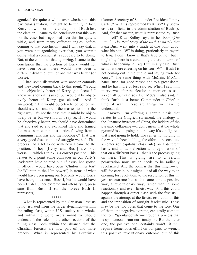agonized for quite a while over whether, in this particular situation, it might be better if, in fact, Kerry did win—or, more to the point, if Bush lost the election. I came to the conclusion that this was not the case, but I agonized over this for quite a while, and from many different angles, before coming to that conclusion—and I will say that, if you were not agonizing over that, you weren't doing what a communist is supposed to be doing. But, at the end of all that agonizing, I came to the conclusion that the election of Kerry would not have been better—there would have been a different dynamic, but not one that was better (or worse).

I had some discussion with another comrade and they kept coming back to this point: "Would it be objectively better if Kerry got elected? I know we shouldn't say so, but would it be objectively better if Kerry got elected?" And I answered: "If it would objectively be better, we should say so, and train the masses to think the right way. It's not the case that it might be objectively better but we shouldn't say so. If it would be objectively better, we should have determined that and said so and explained why, and trained the masses in communist tactics flowing from a communist analysis and methodology." That was a very good discussion and struggle we had. That process had a lot to do with how I came to the position: "They [Kerry and Bush] are both worse"— which I think is a correct position. This relates to a point some comrades in our Party's leadership have pointed out: If Kerry had gotten in office it would have been "Clinton times ten" (or "Clinton to the 10th power") in terms of what would have been going on. Not only would Kerry have been, in essence, Bush I, but he would have been Bush I under extreme and intensifying pressure from Bush II (or the forces Bush II represents).

What is represented by the Christian Fascists is not isolated from the larger dynamics—within the ruling class, within U.S. society as a whole, and within the world overall—and we should understand the role of the other sections of the ruling class, both within the alliance that the Christian Fascists are now part of, and more broadly. What is represented by Brzezinski

\*\*\*\*\*

(former Secretary of State under President Jimmy Carter)? What is represented by Kerry? By Scowcroft (a official in the administration of Bush I)? And, for that matter, what is represented by Bush I himself? Kitty Kelley says, in her book (*The Family: The Real Story of the Bush Dynasty*), that Papa Bush went into a tirade at one point about what his son "W" is doing, particularly in regard to Iraq. I don't know if that's true or not, but it might be, there is a certain logic there in terms of what is happening in Iraq. But, in any case, Bush senior is there cheering on his son "W"—Bush I is not coming out in the public and saying "vote for Kerry." The same thing with McCain. McCain hates Bush, for good reason and to a great depth, and he has more or less said so. When I saw him interviewed after the election, he more or less said so (or all but said so). But McCain also said, "I think Bush is a better Commander-in-Chief in time of war." These are things we have to understand.

Anyway, I'm offering a certain thesis that relates to the Gingrich statement, the analogy to the Japanese invasion of China, the ladders of the pyramid collapsing<sup>3</sup>—I don't mean that the whole pyramid is collapsing, but the way it's configured, that's not going to hold. The center not holding in the way it's been holding, the effort to reconstitute a center (of capitalist class rule) on a different basis, and a rationalization and legitimation of that on a different basis—that is the process going on here. This is giving rise to a certain polarization now, which needs to be radically repolarized. And the point is that this might—not will for certain, but might—lead all the way to an opening for revolution, to the resolution of this in, yes, an extreme but at the same time a positive way, a revolutionary way, rather than in some reactionary and even fascist way. And this could happen through a direct clash with the fascists against the attempt at the fascist resolution of this and the imposition of outright fascist rule. These may be the two poles that come to the fore. One of them, the negative extreme, can easily come to the fore "spontaneously"—through a process that is spontaneous from our standpoint. But the other one, the positive one, certainly won't—it will require tremendous effort on our part, to wrench this positive revolutionary outcome out of this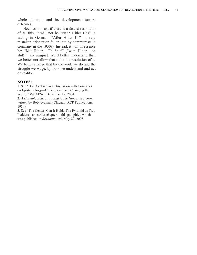whole situation and its development toward extremes.

Needless to say, if there is a fascist resolution of all this, it will not be "Nach Hitler Uns" (a saying in German—"After Hitler Us"—a very mistaken orientation fallen into by communists in Germany in the 1930s). Instead, it will in essence be: "Mit Hitler... Oh Shit!" ("with Hitler... oh shit!") [*BA laughs*]. We'd better understand that, we better not allow that to be the resolution of it. We better change that by the work we do and the struggle we wage, by how we understand and act on reality.

### **NOTES:**

1. See "Bob Avakian in a Discussion with Comrades on Epistemology—On Knowing and Changing the World," *RW* #1262, December 19, 2004.

2. *A Horrible End, or an End to the Horror* is a book written by Bob Avakian (Chicago: RCP Publications, 1984).

3. See "The Center: Can It Hold...The Pyramid as Two Ladders," an earlier chapter in this pamphlet, which was published in *Revolution* #4, May 29, 2005.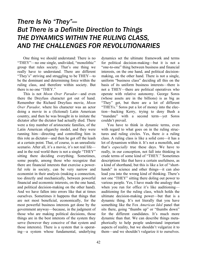## *There Is No "They"— But There is a Definite Direction to Things THE DYNAMICS WITHIN THE RULING CLASS, AND THE CHALLENGES FOR REVOLUTIONARIES*

One thing we should understand: There is no "THEY"—no one single, undivided, "monolithic" group that rules society. That's one thing we really have to understand. There are different "They's" striving and struggling to be THEY—to be the dominant and determining force within the ruling class, and therefore within society. But there is no one "THEY."

This is not *Moon Over Parador*—and even there the Dreyfuss character got out of hand. Remember the Richard Dreyfuss movie, *Moon Over Parador,* where his character was an actor doing a movie in a (fictional) Latin American country, and then he was brought in to imitate the dictator after the dictator had actually died. There were a tiny number of aristocratic families, of the Latin American oligarchy model, and they were running him—directing and controlling him in this role as dictator—and then he got off the leash at a certain point. That, of course, is an unrealistic scenario. After all, it's a movie, it's not real life and in the real world there is not a single "THEY" sitting there deciding everything. Sometimes, some people, among those who recognize that there are financial interests that exercise a powerful role in society, can be very narrow and economist in their analysis (making a connection, too directly and mechanically, between powerful financial and economic interests, on the one hand, and political decision-making on the other hand). And we have fallen into errors like that at times ourselves. Sometimes it happens that things that are not most beneficial, economically, for the most powerful business interests get done by the government anyway—because, in the judgment of those who are making political decisions, those things are in the best interests of the system they serve (however they conceive of that system and those interests). There is a system that is operating—a system whose fundamental, underlying

dynamics set the ultimate framework and terms for political decision-making—but it is not a "one-to-one" thing between business and financial interests, on the one hand, and political decisionmaking, on the other hand. There is not a single, uniform "business class" deciding all this on the basis of its uniform business interests—there is not a THEY—there are political operatives who operate with relative autonomy. George Soros (whose assets are in the billions) is as big as "They" get, but there are a lot of different "THEYs." Soros put a lot of money into the election—backing Kerry, trying to deny Bush a "mandate" with a second term—yet Soros couldn't prevail.

You have to think in dynamic terms, even with regard to what goes on in the ruling structures and ruling circles. Yes, there *is* a ruling class. A ruling class is like a solid core—it has a lot of dynamism within it. It's not a monolith, and that's *especially* true these days. We have to really, in our conception, not fall into thinking in crude terms of some kind of "THEY." Sometimes descriptions like that have a certain usefulness, as a kind of shorthand, but this is like a lot of "shorthands" in science and other things—it can also lead you into the wrong kind of thinking. There's not one "THEY" sitting there doling out power to various people. Yes, I have made the analogy that when you run for office it's like auditioning auditioning for the ruling class, which holds the ultimate decision-making power—but that is a dynamic thing. It's not literally that you have something like the Fox *American Idol* panel that sits there, going "thumbs up" or "thumbs down" for the different candidates. It's much more dynamic than that. We can describe things metaphorically to help people understand important aspects of reality, but we shouldn't vulgarize it to them—and we shouldn't vulgarize it to ourselves.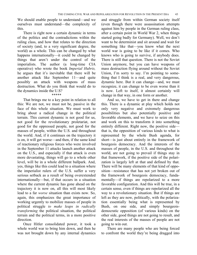We should enable people to understand—and we ourselves must understand—the complexity of this.

There is right now a certain dynamic in terms of the politics and the contradictions within the ruling class, and how that relates to the direction of society (and, to a very significant degree, the world) as a whole. This can be changed by what happens internationally—it could be changed by things that aren't under the control of the imperialists. The author (a long-time CIA operative) who wrote the book *Imperial Hubris,* he argues that it's inevitable that there will be another attack like September 11—and quite possibly an attack with weapons of mass destruction. What do you think that would do to the dynamics inside the U.S?

#### \*\*\*\*\*

That brings me to a key point in relation to all this: We are not, we must not be, passive in the face of this whole situation. We must work to bring about a radical change in the political terrain. This current dynamic is not good for us, not good for the revolutionary proletariat, not good for the oppressed people, not good for the masses of people, within the U.S. and throughout the world. And, if it continues on the trajectory it is on, it will get worse—and then, if the same kind of reactionary religious forces who were involved in the September 11 attacks launch another attack on the U.S., and especially if that attack is even more devastating, things will go to a whole other level, will be in a whole different ballpark. And, yes, things like this could lead to a situation where the imperialist rulers of the U.S. suffer a very serious setback as a result of being overextended internationally—but, if that occurs in a situation where the current dynamic has gone ahead on the trajectory it is now on, all this will most likely lead to a far *worse* situation than exists now. So, again, this emphasizes the great importance of working urgently to mobilize masses of people in political struggle *to make leaps in radically transforming* the political situation, the political terrain and the political terms, in a more positive direction.

Once Hitler consolidated power, it took a whole world war to bring him down, and then he was not brought down by any internal dynamics and struggle from within German society itself (even though there were assassination attempts against him by people in the German ruling class, after a certain point in World War 2, when things started going badly for Germany). Well, we don't want to be determinist and sit around and wait for something like that—you know what the next world war is going to be like if it comes. Who knows who is going to survive, if anybody does. There is still that question. There is not the Soviet Union anymore, but you can have weapons of mass destruction flying around without the Soviet Union, I'm sorry to say. I'm pointing to something that I think is a real, and very dangerous, dynamic here. But it can change—and, we must recognize, it can change to be even worse than it is now. Left to itself, it almost certainly will change in that way, in one form or another.

And so, we have to get in there and change this. There is a dynamic at play which holds not only very negative and extremely dangerous possibilities but also potentially positive and favorable elements, and we have to seize on this and work on this to transform it into something entirely different. Right now, the positive side that is, the opposition of various kinds to what is represented by the whole Bush agenda, for short—is just about entirely in the framework of bourgeois democracy. And the interests of the masses of people, in the U.S. and throughout the world, are not going to prevail if things stay in that framework, if the positive side of the polarization is largely left at that and defined by that. There will be many elements of that kind of opposition—resistance that has not yet broken out of the framework of bourgeois democracy, fundamentally—if things are repolarized to a more favorable configuration. And this will be true, in a certain sense, even if things are repolarized all the way to a revolutionary situation. But if things are left as they are now, politically, with the polarization essentially being what is represented by Bush, on one side, and simply bourgeoisdemocratic opposition (of various kinds) on the other side, good things are not going to result, and the real interests of the masses of people are not going to win out.

There are many people who are being forced to confront the world they're being dragged into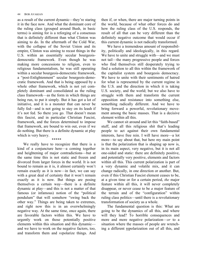as a result of the current dynamic—they're staring it in the face now. And what the dominant core of the ruling class (grouped around Bush, in basic terms) is aiming for is a reforging of a consensus that is definitely different than what Clinton was aiming to do. In the aftermath of the Cold War, with the collapse of the Soviet Union and its empire, Clinton was aiming to recast things in the U.S. within an essentially secular bourgeoisdemocratic framework. Even though he was making more concessions to religion, even to religious fundamentalism, he was still operating within a secular bourgeois-democratic framework, a "post-Enlightenment" secular bourgeois-democratic framework. And that is being opposed by a whole other framework, which is not yet completely dominant and consolidated as the ruling class framework—as the form in which things are being run, to put it simply. But it has got a lot of initiative, and it is a monster that can never be fully fed—and is not going to stay on its leash if it's not fed. So there you go. That doesn't mean this fascist, and in particular Christian Fascist, framework, and the forces determined to impose that framework, are bound to win out, even if we do nothing. But there is a definite dynamic at play which is very heavy.

We really have to recognize that there is a kind of a conjuncture here—a coming together and heightening of major contradictions—but at the same time this is not static and frozen and divorced from larger forces in the world. It is not bound to remain as it is, it almost certainly won't remain exactly as it is now—in fact, we can say with a great deal of certainty that it won't remain exactly as it is now. But things are posing themselves a certain way—there is a definite dynamic at play—and this is not a matter of that famous (or infamous) notion of the "political pendulum" that will somehow "swing back the other way." Things are being taken to extremes, and right now this is in an overwhelmingly negative way. At the same time, once again, there are favorable factors within this. We have to urgently work on those potentially positive elements within this situation and this dynamic and we have to work on the negative factors, too, and transform them and *re*polarize things. And

\*\*\*\*\*

then if, or when, there are major turning points in the world, because of what other forces do and how the ruling class of the U.S. responds, the result of all that can be very different than the definitely negative outcome that would occur if this current dynamic is not radically transformed.

We have a tremendous amount of responsibility, politically and ideologically, in this regard. We have to unite and struggle with—and we must not tail—the many progressive people and forces who find themselves still desperately trying to find a solution to all this within the framework of the capitalist system and bourgeois democracy. We have to unite with their sentiments of hatred for what is represented by the current regime in the U.S. and the direction in which it is taking U.S. society, and the world; but we also have to struggle with them and transform the current opposition and resistance into something else, something radically different. And we have to bring forward a powerful, revolutionary movement among the basic masses. That is a decisive element within all this.

We cannot sit around and let this "faith-based" stuff, and all this religious shit that's leading people to act against their own fundamental interests, have free rein. I will have more—a lot more—to say about that, but here my main point is that the polarization that is shaping up now is, in its main aspect, very negative, but it is not all one-sided and static: there are definitely positive, and potentially very positive, elements and factors within all this. This current polarization is part of a very dynamic and volatile mix, and it can change radically, in one direction or another. But, even if this Christian Fascist element ceases to be, at a given time or for a certain period, *the* major feature within all this, it will never completely disappear, or never cease to be *a* major feature of the terrain and of the "configuration" within ruling class politics—until there is a revolutionary transformation of society as a whole.

The fundamental question is this: What are going to be the dynamics of all this, and where will they lead? To horrible consequences and more and more negative polarization—*or* to a situation where the masses of people are wrenching a different repolarization out of all this, and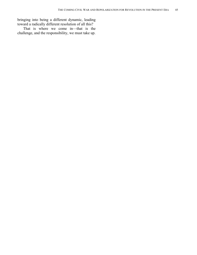bringing into being a different dynamic, leading toward a radically different resolution of all this?

That is where we come in—that is the challenge, and the responsibility, we must take up.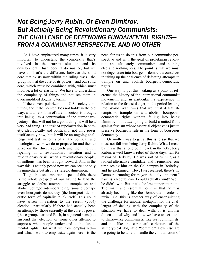## *Not Being Jerry Rubin, Or Even Dimitrov, But Actually Being Revolutionary Communists: THE CHALLENGE OF DEFENDING FUNDAMENTAL RIGHTS— FROM A COMMUNIST PERSPECTIVE, AND NO OTHER*

As I have emphasized many times, it is very important to understand the complexity that's involved in the current situation and its development. Bush doesn't do nuance, but we have to. That's the difference between the solid core that exists now within the ruling class—the group now at the core of its power—and our solid core, which must be combined with, which must involve, a lot of elasticity. We have to understand the complexity of things and not see them in oversimplified dogmatic terms.

If the current polarization in U.S. society continues, and if the "center does not hold" in the old way, and a new form of rule in society is brought into being—as a continuation of the current trajectory—that will not be a good thing, it will be a very bad thing. The task of repolarization in society, ideologically and politically, not only poses itself acutely now, but it will be an ongoing challenge and task in terms of all the political, and ideological, work we do to prepare for and then to seize on the direct approach and then the full ripening of a revolutionary situation and a revolutionary crisis, when a revolutionary people, of millions, has been brought forward. And in the way this is acutely posed now we can see not only its immediate but also its strategic dimension.

To get into one important aspect of this, there is the whole prospect of our having to lead the struggle to defeat attempts to trample on and abolish bourgeois-democratic rights—and perhaps even bourgeois democracy (the bourgeois-democratic form of capitalist rule) itself. This could have arisen in relation to the recent (2004) election—particularly if there had actually been an attempt by those currently at the core of power (those grouped around Bush, in a general sense) to suspend that election, or some other attempt to suppress what people understand to be fundamental rights. But what we have emphasized and what I want to emphasize again here—is the

need for us to do this from our communist perspective and with the goal of proletarian revolution and ultimately communism—and nothing else and nothing less. The point is that we must not degenerate into bourgeois democrats ourselves in taking up the challenge of defeating attempts to trample on and abolish bourgeois-democratic rights.

One way to put this—taking as a point of reference the history of the international communist movement, and in particular its experience in relation to the fascist danger, in the period leading into World War 2—is that we must defeat attempts to trample on and abolish bourgeoisdemocratic rights without falling into being Dimitrov<sup>1</sup>—not attempting to build a united front against fascism whose essential objective is just to preserve bourgeois rule in the form of bourgeois democracy.

Or another way to get at this is to say that we must not fall into being Jerry Rubin. What I mean by this is that at one point, back in the '60s, Jerry Rubin, a well-known rebel of those days, ran for mayor of Berkeley. He was sort of running as a radical alternative candidate, and I remember one time seeing him on the Cal campus in Berkeley, and he exclaimed: "Hey, I just realized, there's no Democrat running for mayor, the only opponent I have is a Republican. I could actually win!" Well, he didn't win. But that's the less important point. The main and essential point is that he was already becoming like the Democrats in order to "win." So, this is another way of encapsulating the challenge (or another metaphor for the challenge) of dealing with the complexity of the situation we have to deal with. It is another dimension of why and how we have to act—and to think—like communists, like real communists, and not like the cardboard caricature of the stereotypical dogmatic "commie." How else are we going to be able to handle the contradiction of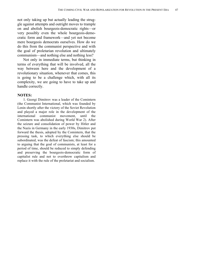not only taking up but actually leading the struggle against attempts and outright moves to trample on and abolish bourgeois-democratic rights—or very possibly even the whole bourgeois-democratic form and framework—and yet not become mere bourgeois democrats ourselves. How do we do this from the communist perspective and with the goal of proletarian revolution and ultimately communism—and nothing else and nothing less?

Not only in immediate terms, but thinking in terms of everything that will be involved, all the way between here and the development of a revolutionary situation, whenever that comes, this is going to be a challenge which, with all its complexity, we are going to have to take up and handle correctly.

#### **NOTES:**

1. Georgi Dimitrov was a leader of the Comintern (the Communist International, which was founded by Lenin shortly after the victory of the Soviet Revolution and played a major role in the development of the international communist movement, until the Comintern was abolished during World War 2). After the seizure and consolidation of power by Hitler and the Nazis in Germany in the early 1930s, Dimitrov put forward the thesis, adopted by the Comintern, that the pressing task, to which everything else should be subordinated, was the defeat of fascism; this amounted to arguing that the goal of communists, at least for a period of time, should be reduced to simply defending and preserving the bourgeois-democratic form of capitalist rule and not to overthrow capitalism and replace it with the rule of the proletariat and socialism.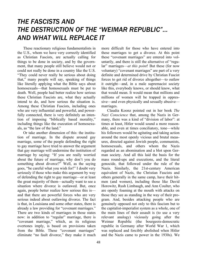# *THE FASCISTS AND THE DESTRUCTION OF THE "WEIMAR REPUBLIC"... AND WHAT WILL REPLACE IT*

These reactionary religious fundamentalists in the U.S., whom we have very correctly identified as Christian Fascists, are actually calling for things to be done in society, and by the government, that many people still believe would not or could not really be done in a country like the U.S. "They could never really be serious about doing that," many people will say, speaking of things like literally applying what the Bible says about homosexuals—that homosexuals must be put to death. Well, people had better realize how serious these Christian Fascists are, what they actually intend to do, and how serious the situation is. Among these Christian Fascists, including ones who are very influential and powerful, and powerfully connected, there is very definitely an intention of imposing "biblically based morality," including things like the execution of homosexuals, as "the law of the land."

Or take another dimension of this: the institution of marriage. In the dispute around gay marriage, some of the people defending the right to gay marriage have tried to answer the argument that gay marriage will undermine the institution of marriage by saying: "If you are really worried about the future of marriage, why don't you do something about divorce?" Well, as the saying goes, "be careful what you wish for!" I doubt very seriously if those who make this argument by way of defending the right to gay marriage—or at least the great majority of them—actually want to see a situation where divorce is outlawed. But, once again, people better realize how serious this is and that there are powerful forces who are very serious indeed about outlawing divorce. The fact is that, in Louisiana and some other states, there is already a law providing for "covenant marriages." There are two kinds of marriages in those states now: in addition to "regular" marriage, there is "covenant marriage," which, as its religious overtones imply, is based on provisions taken from the Bible. These "covenant marriages" eliminate "no fault divorce," they make it much more difficult for those who have entered into these marriages to get a divorce. At this point these "covenant marriages" are entered into voluntarily, and there is still the alternative of "regular" marriages—*at this point*! But these (for now voluntary) "covenant marriages" are part of a very definite and determined drive by Christian Fascist forces to get rid of divorce altogether—to outlaw it outright—and, in a male supremacist society like this, everybody knows, or should know, what that would mean. It would mean that millions and millions of women will be trapped in oppressive—and even physically and sexually abusive marriages.

Claudia Koonz pointed out in her book *The Nazi Conscience* that, among the Nazis in Germany, there was a kind of "division of labor": at times at least, Hitler would sound a more reasonable, and even at times conciliatory, tone—while his followers would be agitating and taking action around the most openly vicious and brutal measures, directed against Jewish people, communists, homosexuals, and others whom the Nazis regarded as an abomination and a blot upon German society. And all this laid the basis for the mass round-ups and executions, and the literal genocide, that followed under the rule of the Nazis. Similarly, the 21st-century American equivalent of Nazis, the Christian Fascists and others generally in the same camp, have their hitmen (and women), including those like David Horowitz, Rush Limbaugh, and Ann Coulter, who are openly foaming at the mouth with attacks on those they see as standing in the way of their program. And, besides attacking people who are genuinely opposed not only to this fascism but to the capitalist-imperialist system as a whole, one of the main lines of their assault is (to use a very relevant analogy) viciously going after the Weimar Republic (the bourgeois-democratic republic in Germany after World War 1, which was replaced and forcibly abolished when Hitler and the Nazis came to power in the 1930s). We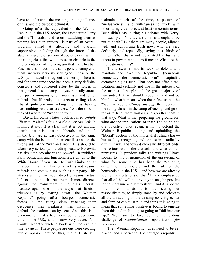have to understand the meaning and significance of this, and the purpose behind it.

Going after the equivalent of the Weimar Republic in the U.S. today, the Democratic Party and the "Liberals," and so on—attacking them as nothing less than traitors—is part of an overall program aimed at silencing and outright suppressing, including through the force of the state, any group or section of society, even within the ruling class, that would pose an obstacle to the implementation of the program that the Christian Fascists, and forces in the same general camp with them, are very seriously seeking to impose on the U.S. (and indeed throughout the world). There is, and for some time there has been, a very definite, conscious and concerted effort by the forces in that general fascist camp to systematically attack not just communists, or anarchists and other radicals, but **liberals, mainstream ruling class liberal politicians**—attacking them as having been nothing less than **traitors**, from the time of the cold war to the "war on terror."

David Horowitz's latest book is called *Unholy Alliance: Radical Islam and the American Left*. In looking it over it is clear that it is yet another diatribe that insists that the "liberals" and the left in the U.S. are at least objectively in the same camp with the Islamic fundamentalists and on the wrong side of the "war on terror." This should be taken very seriously, including because Horowitz has ties with prominent and powerful Republican Party politicians and functionaries, right up to the White House. If you listen to Rush Limbaugh, at this point his main line of attack is not against radicals and communists, such as our party—his attacks are not so much directed against actual leftists all that much—but are much more directed against the mainstream ruling class liberals, because again one of the ways that fascism triumphs is by tearing down "the Weimar Republic"—going after bourgeois-democratic forces in the ruling class—attacking their decadence, their weakness, their inability to defend the national entity, etc. And this is a phenomenon that's been developing over some time in the U.S., and is now very acute. Ann Coulter recently wrote a book with the explicit title: *Treason*. These people are out there creating public opinion around this, while Bush still maintains, much of the time, a posture of "inclusiveness" and willingness to work with other ruling class forces, at least on certain terms. Bush didn't say, during his debates with Kerry, for example: "You are a traitor, and ought to be put to death." But there are many people, aligned with and supporting Bush now, who are very definitely, and repeatedly, saying these kinds of things. When that is not repudiated by Bush and others in power, what does it mean? What are the implications of this?

The answer is not to seek to defend and maintain the "Weimar Republic" (bourgeois democracy—the "democratic form" of capitalist dictatorship<sup>1</sup>) as such. That does not offer a real solution, and certainly not one in the interests of the masses of people and the great majority of humanity. But we should recognize and not be blind to what it means when these fascists put the "Weimar Republic"—by analogy, the liberals in the ruling class—in the camp of enemy, and go so far as to label them traitors, and go after them in that way. What is that preparing the ground for, what are the implications of that? The point, and our objective, once again, is not to defend the Weimar Republic—tailing and upholding the "liberal" section of the imperialist ruling class but to fully recognize, and oppose in a radically different way and toward radically different ends, the seriousness of these attacks and what this all represents. In previous talks and writings I have spoken to this phenomenon of the unraveling of what for some time has been the "cohering center" of the society and the rule of the bourgeoisie in the U.S.—and how we are already seeing manifestations of that.<sup>2</sup> I have emphasized that all of this will not, by any means, be positive in the short run, and left to itself—and it is not the role of communists, it is not meeting our responsibilities, to simply stand by and celebrate all the unraveling of the existing cohering center and form of capitalist rule and think it is going to mean that something positive is bound to emerge from this and in fact is just going to "fall into our lap." We have to take up the tremendous challenge of *repolarization*—repolarization *for revolution*.

The "Weimar Republic" does need to be replaced, and superseded. The bourgeois republic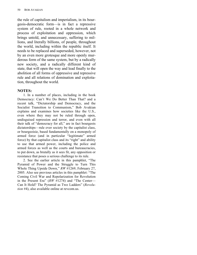the rule of capitalism and imperialism, in its bourgeois-democratic form—is in fact a repressive system of rule, rooted in a whole network and process of exploitation and oppression, which brings untold, and unnecessary, suffering to millions, and literally billions, of people, throughout the world, including within the republic itself. It needs to be replaced and superseded, however, not by an even more grotesque and more openly murderous form of the same system, but by a radically new society, and a radically different kind of state, that will open the way and lead finally to the abolition of all forms of oppressive and repressive rule and all relations of domination and exploitation, throughout the world.

### **NOTES:**

1. In a number of places, including in the book Democracy: Can't We Do Better Than That? and a recent talk, "Dictatorship and Democracy, and the Socialist Transition to Communism," Bob Avakian explains and examines how societies like the U.S., even where they may not be ruled through open, undisguised repression and terror, and even with all their talk of "democracy for all," are in fact bourgeois dictatorships—rule over society by the capitalist class, or bourgeoisie, based fundamentally on a monopoly of armed force (and in particular "legitimate" armed force) by that capitalist class and its "right" and ability to use that armed power, including the police and armed forces as well as the courts and bureaucracies, to put down, as brutally as it sees fit, any opposition or resistance that poses a serious challenge to its rule.

2. See the earlier article in this pamphlet, "The Pyramid of Power and the Struggle to Turn This Whole Thing Upside Down," *RW* #1269, February 27, 2005. Also see previous articles in this pamphlet: "The Coming Civil War and Repolarization for Revolution in the Present Era" (*RW* #1274) and "The Center— Can It Hold? The Pyramid as Two Ladders" (*Revolution* #4), also available online at revcom.us.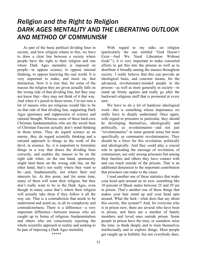## *Religion and the Right to Religion DARK AGES MENTALITY AND THE LIBERATING OUTLOOK AND METHOD OF COMMUNISM*

As part of the basic political dividing lines in society, and how religion relates to this, we have to draw a clear line between a society where people have the right to their religion and one where Dark Ages mentality is imposed on people—to oppose science, to oppose rational thinking, to oppose knowing the real world. It is very important to make, and insist on, that distinction. Now it is true that, for some of the masses the religion they are given actually falls on the wrong side of that dividing line, but they may not know that—they may not think of it that way. And when it's posed in those terms, I'm not sure a lot of masses who are religious would like to be on that side of that dividing line, supporting Dark Ages ignorance and suppression of science and rational thought. Whereas some of these hard-core Christian fundamentalists who are the social base of Christian Fascism actually don't mind thinking in those terms. They do regard science as an enemy, they do regard scientific thinking and a rational approach to things as the work of the devil, in essence. So, it is important to formulate things in a way that draws the dividing lines correctly, and enables the masses to be on the right side when, on the one hand, spontaneity might land them on the wrong side but, on the other hand, that's not really where they want to be—and, fundamentally, not where their real interests lie. At this point, and for some time, many of them will want their religion, but they don't really want to be in the Dark Ages, even though in many cases that's where their religion will actually take them if they follow it all the way out. That is a contradiction that needs to be understood and acted on, in all its complexity and contradictoriness. There is a difference—a very important difference—between masses who are caught up in forms of religious fundamentalism and others who are consciously rejecting the whole scientific approach to reality and seeking to be part of imposing a Dark Ages mentality. \*\*\*\*\*

With regard to my talks on religion (particularly the one entitled "God Doesn't Exist—And We Need Liberation Without Gods"<sup>1</sup>), it is very important to make concerted efforts to get this into the prisons as well as to distribute it broadly among the masses throughout society. I really believe that this can provide an ideological basis, and concrete means, for the advanced, revolutionary-minded people in the prisons—as well as more generally in society—to stand up firmly against and really go after the backward religious stuff that is promoted at every turn.

We have to do a lot of hardcore ideological work—this is something whose importance we really have to deeply understand. Once again, with regard to prisoners in particular, they should be developing themselves, ideologically and politically, as revolutionaries—and not just "revolutionaries" in some general sense but more specifically as communist revolutionaries. They should be a force for this revolution, politically and ideologically. And they could play a crucial role in spreading the message of revolution, of communism, not only among prisoners but among their families and others they have contact with and can reach outside of the prisons. That is an additional dimension to the important contribution that prisoners can make to the cause.

I read another one of these statistics that make your head spin around on its axis: something like 10 percent of Black males between 25 and 29 are in prison. That's another one of these things that makes your hair stand up and your head spin around. What the fuck—what does that say about this society, this system?! And, for everyone who is in prison now, there are several who have been in prison, and there are a number of family members and loved ones outside prison. Some people in prison have the time, or somehow seize the time, to think deeply and to train themselves intellectually and to explore things. Most people get caught up in bullshit, but not everybody does.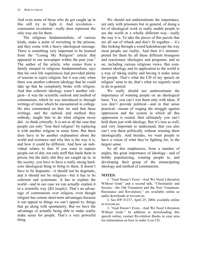And even some of those who do get caught up in this still try to fight it. And revolution communist revolution—really does represent the only way out for them.

The religious fundamentalists, of various kinds, make a point of recruiting in the prisons, and they come with a heavy ideological message. There is something very important to be learned from the "Losing My Religion" article that appeared in our newspaper within the past year.<sup>2</sup> The author of the article, who comes from a family steeped in religious fundamentalism, says that his own life experiences had provided plenty of reasons to reject religion, but it was only when there was another coherent ideology that he could take up that he completely broke with religion. And that coherent ideology wasn't another religion—it was the scientific outlook and method of communism, which he was introduced to through writings of mine which he encountered in college. He also commented on that: he said that these writings, and the outlook and method they embody, taught him to do what religion never did—to think critically. It is not at all the case that people can only "lose their religion" by replacing it with another religion in some form. But there does have to be another explanation about the world and existence and why this is the way it is, and how it could be different. And how an individual relates to that. If you want to rupture people out of shit, not only stuff that lands them in prison, but the daily shit they are caught up in, in the society, you have to have a really strong hardcore ideological thing to bring to them. It doesn't have to be dogmatic—it should not be dogmatic, and it should not be religious—but it has to be coherent and systematic. It has to explain the world—and in our case we can actually explain it in a scientific way [*BA laughs*]. That's an advantage of communism over religion, even though religion has certain short-term advantages because it can appeal to things we can't appeal to, things that go along with spontaneity. But we have the advantage of actually being able to make reality make sense for people. That's a very powerful thing.

We should not underestimate the importance, not only with prisoners but in general, of doing a lot of ideological work to really enable people to see the world in a wholly different way—really the way it is. To take the pieces of this puzzle that are all out of whack and don't fit together— it's like looking through a weird kaleidoscope the way most people see reality. And then it's misinterpreted for them by all these different bourgeois and reactionary ideologies and programs, and so on, including various religious views. But communist ideology and its application to the world is a way of taking reality and having it make sense for people. That's what the CD of my speech on religion<sup>3</sup> aims to do, that's what we urgently need to do in general.

We really should not underestimate the importance of winning people on an ideological basis. Yes, you can't win them only with ideas. If you don't provide political—and in that sense practical—means of waging the struggle against oppression and the system in which all this oppression is rooted, then ultimately you can't hold them just with ideology. But it's true as well, and very important to understand, that you also can't win them politically without winning them ideologically. And besides, we want people to have a vision of what they're fighting for, in the largest sense.

So all this emphasizes, from a number of angles, the great importance of ideology—and of boldly popularizing, winning people to, and developing their grasp of the emancipating ideology and method of communism.

### **NOTES:**

1. "God Doesn't Exist—And We Need Liberation Without Gods" and a second talk, "Christianity and Society—the Old Testament and the New Testament, Resistance and Revolution," are available online as audio downloads at revcom.us.

2. See *RW* #1237, April 25, 2004, available online at revcom.us.

3. "God Doesn't Exist—And We Need Liberation Without Gods." In addition to downloading this speech online, contact Revolution Books in your area for information on how to order it on CD.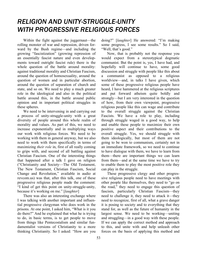# *RELIGION AND UNITY-STRUGGLE-UNITY WITH PROGRESSIVE RELIGIOUS FORCES*

Within the fight against the juggernaut—the rolling monster of war and repression, driven forward by the Bush regime—and including the growing "fascistization" (growing repression of an essentially fascist nature and even developments toward outright fascist rule) there is the whole question of the battle around morality: against traditional morality and Christian Fascism, around the question of homosexuality, around the question of women and in particular abortion, around the question of separation of church and state, and so on. We need to play a much greater role in the ideological and also in the political battle around this, in the battle around public opinion and in important political struggles in these spheres.

We need to be intervening in and carrying out a process of unity-struggle-unity with a great diversity of people around this whole realm of morality and values. As part of this, we need to increase exponentially and in multiplying ways our work with religious forces. We need to be working with them in general anyway, but we also need to work with them specifically in terms of maximizing *their role* in, first of all really coming to grips with, and second of all battling against Christian Fascism. One of the interesting things that happened after a talk I gave on religion ("Christianity and Society—The Old Testament, The New Testament, Christian Fascism, Social Change and Revolution," available in audio at revcom.us) was that, after this talk, one of these progressive religious people made the comment: "I kind of get this point on unity-struggle-unity, because it's working on me." [*laughter*]

There was also an interesting exchange where I was talking with another important and influential progressive clergyman who does work in the prisons. At one point, I asked him, "What is it you do there?" And he explained that what he is trying to do, in basic terms, is to get people to move from things like Pentecostalism and similar fundamentalist versions of Christianity to a more thinking Christianity. So I asked: "How are you

doing?" [*laughter*] He answered: "I'm making some progress, I see some results." So I said, "Well, that's good."

Now, that is probably not the response you would expect from a stereotypical dogmatic communist. But the point is, yes, I have had, and hopefully will continue to have, some good discussion and struggle with people like this about a communist as opposed to a religious worldview—and, in talks I have given, which some of these progressive religious people have heard, I have hammered at the religious scriptures and put forward atheism quite boldly and strongly—but I am very interested in the question of how, from their own viewpoint, progressive religious people like this can wage and contribute to the overall struggle against the Christian Fascists. We have a role to play, including through struggle waged in a good way, to help and enable these people to maximize their own positive aspect and their contributions to the overall struggle. Yes, we should struggle with them ideologically, but most of them are not going to be won to communism, certainly not in an immediate framework, so we need to continue to have dialogue with them, we have to learn from them—there are important things we can learn from them—and at the same time we have to try to enable them to play the most positive role they can play in the struggle.

These progressive clergy and other progressive religious people need to have meetings with other people like themselves, they need to "go on the road," they need to engage this question of fascism, particularly Christian Fascism—they need to challenge it, they need to attack it—they need to recognize, first of all, what a grave danger it is posing to society and to everything that they stand for, as well as the future of humanity in the largest sense. We need to be working—uniting and struggling—in a good way with these people. If we can apply the correct method and approach to this, and unite with and help unleash other forces on the basis of applying this method and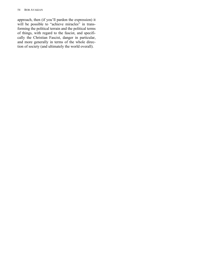#### 54 BOB AVAKIAN

approach, then (if you'll pardon the expression) it will be possible to "achieve miracles" in transforming the political terrain and the political terms of things, with regard to the fascist, and specifically the Christian Fascist, danger in particular, and more generally in terms of the whole direction of society (and ultimately the world overall).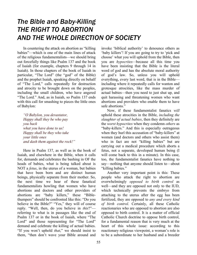## *The Bible and Baby-Killing THE RIGHT TO ABORTION AND THE WHOLE DIRECTION OF SOCIETY*

In countering the attack on abortion as "killing babies"—which is one of the main lines of attack of the religious fundamentalists—we should bring out forcefully things like Psalm 137 and the book of Isaiah (for example, chapters 9 through 14 in Isaiah). In those chapters of the book of Isaiah in particular, "The Lord" (the "god" of the Bible) and the prophet Isaiah, speaking directly on behalf of "The Lord," calls repeatedly for destruction and atrocity to be brought down on the peoples, including the small children, who have angered "The Lord." And, as in Isaiah, so Psalm 137 ends with this call for smashing to pieces the little ones of Babylon:

*"O Babylon, you devastator, Happy shall they be who pay you back what you have done to us! Happy shall be they who take your little ones and dash them against the rock!"*

Here in Psalm 137, as well as in the book of Isaiah, and elsewhere in the Bible, when it calls for, demands and celebrates the bashing in OF the heads of babies, what is being talked about is NOT a *fetus*, in the uterus of a woman, but babies that have been born and are distinct human beings, physically separate from their mother. So, the next time we hear of these fanatical fundamentalists howling that women who have abortions and doctors and other providers of abortions are "baby killers," these "Biblethumpers" should be confronted like this: "Do you believe in the Bible?" "Yes," they will of course reply. "Well, then, do you believe in *this*?" referring to what is in passages like the end of Psalm 137 or in the book of Isaiah, where "The Lord" and those representing for "The Lord" demand and celebrate the killing of actual babies. "If you won't uphold *that*," we should insist to them, "then don't wave your Bible around and invoke 'biblical authority' to denounce others as 'baby killers'! If you are going to try to 'pick and choose' what you will uphold from the Bible, then you are *hypocrites—*because all this time you have been insisting that the Bible is the literal word of god and has the absolute moral authority of god's law. So, unless you will uphold everything, every last word, that is in the Bible including where it repeatedly calls for wanton and grotesque atrocities, like the mass murder of actual babies—then you need to just shut up, and quit harassing and threatening women who want abortions and providers who enable them to have safe abortions."

Now, if these fundamentalist fanatics *will* uphold these atrocities in the Bible, *including the slaughter of actual babies*, then they definitely are the *worst hypocrites* when they condemn *others* as "baby-killers." And this is especially outrageous when they hurl this accusation of "baby-killers" at women (and doctors and others who assist them) who in fact are not "killing babies" but are carrying out a medical procedure which aborts a fetus, not a separate, developed human being (I will come back to this in a minute). In this case, too, the fundamentalist fanatics have nothing to say—nothing that anyone should listen to—about "killing babies."

Another very important point is this: These people who attack the right to abortion are overwhelmingly *opposed to birth control* as well—and they are opposed not only to the IUD, which technically prevents the embryo from attaching to the uterus after the egg has been fertilized, they are opposed to *any and every kind of birth control*. Certainly, all these Catholic reactionaries who are opposed to abortion are also opposed to birth control. It is a matter of official Catholic Church doctrine to oppose birth control, for a fundamental reason that is very much at the heart of this whole issue: according to this reactionary religious viewpoint, a woman's role is to be a subordinate to her husband and a breeder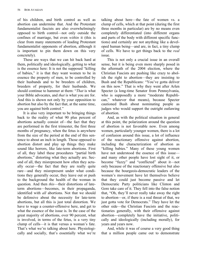of his children, and birth control as well as abortion can undermine that. And the Protestant fundamentalist fascists are also overwhelmingly opposed to birth control—not only outside the confines of marriage, but even *within* it (this is clear from many statements of leading Protestant fundamentalist opponents of abortion, although it is important to pin them down on this very concretely).

These are ways that we can hit back hard at them, politically and ideologically, getting to what is the essence here: It is not the supposed "killing of babies," it is that they want women to be in essence the property of men, to be controlled by their husbands and to be breeders of children, breeders of property, for their husbands. We should continue to hammer at them: "*That* is what your Bible advocates, and *that* is what you are for. And this is shown not only by your opposition to abortion but also by the fact that, at the same time, you are against birth control."

It is also very important to be bringing things back to the reality of what 90 plus percent of abortions actually consist of—the fact that they are performed in the first trimester, the first three months of pregnancy, when the fetus is anywhere from the size of the period at the end of this sentence to about an inch in length. Those opposed to abortion distort and play up things they make sound like horrors, like late-term abortions. First of all, they label these procedures "partial birth abortions," distorting what they actually are. Second of all, they misrepresent how often they actually occur—the fact that they are really quite rare—and they misrepresent under what conditions they generally occur, they leave out or push to the background the health of the woman in question. And then *this*—their distortions of lateterm abortions—becomes, in their propaganda, identified with *all* abortions. Not that we should be defensive about the necessity for late-term abortions, but all this is just total distortion. We have to wage a counter-offensive here, and get to what the essence of the issue is. In the case of the great majority of abortions, over 90 percent, what is involved, in terms of the fetus, is a very tiny clump of cells—it is that versus a woman's fate. That's what we're talking about here. Physiologically and socially, that's essentially what we're

talking about here—the fate of women vs. a clump of cells, which at that point (during the first three months in particular) are by no means even completely differentiated (into different organs and parts of the body with different specific functions) and certainly are not anything like a developed human being—and are, in fact, a tiny clump of cells. We have to get things back to the *real* issue.

This is not only a crucial issue in an overall sense, but it is being even more sharply posed in the aftermath of the 2004 election, where the Christian Fascists are pushing like crazy to abolish the right to abortion—they are insisting to Bush and the Republicans: "You've gotta deliver on this now." That is why they went after Arlen Specter (a long-time Senator from Pennsylvania, who is supposedly a more "moderate Republican," whatever that means), because Specter cautioned Bush about nominating people as judges who would support the outright outlawing of abortion.

And, as with the political situation in general at this point, the polarization around the question of abortion is not favorable now. Even among women, particularly younger women, there is a lot of confusion around this issue, a lot of influence of the reactionary offensive against abortion, including the characterization of abortion as "killing babies." Many of these young women have not understood the essence of this issue and many other people have lost sight of it, or become "fuzzy" and "conflicted" about it—not only because of the reactionary offensive but also because the bourgeois-democratic leaders of the women's movement have let themselves believe that they could just become passive and let Democratic Party politicians like Clinton and Gore take care of it. They fell into the false notion that, "Oh, they'll never really take away the right to abortion—or, if there is a real threat of that, we just gotta vote for Democrats." They have let the other side—the Christian Fascists and the reactionaries generally, with their offensive against abortion—completely have the initiative, politically and ideologically (including morally), for years and years now.

And, while it was of course a very good thing that a million people came out to demonstrate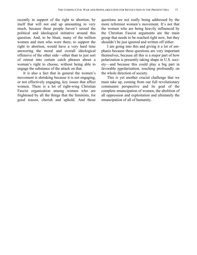recently in support of the right to abortion, by itself that will not end up amounting to very much, because these people haven't seized the political and ideological initiative around this question. And, to be blunt, many of the million women and men who were there, to support the right to abortion, would have a very hard time answering the moral and overall ideological offensive of the other side—other than to just sort of retreat into certain catch phrases about a woman's right to choose, without being able to engage the substance of the attack on that.

It is also a fact that in general the women's movement is shrinking because it is not engaging, or not effectively engaging, key issues that affect women. There is a lot of right-wing Christian Fascist organization among women who are frightened by all the things that the feminists, for good reason, cherish and uphold. And those

questions are not really being addressed by the more reformist women's movement. It's not that the women who are being heavily influenced by the Christian Fascist arguments are the main group that needs to be reached right now, but they shouldn't be just ignored and written off either.

I am going into this and giving it a lot of emphasis because these questions are very important themselves, because all this is a major part of how polarization is presently taking shape in U.S. society—and because this could play a big part in favorable repolarization, touching profoundly on the whole direction of society.

This is yet another crucial challenge that we must take up, coming from our full revolutionary communist perspective and its goal of the complete emancipation of women, the abolition of all oppression and exploitation and ultimately the emancipation of all of humanity.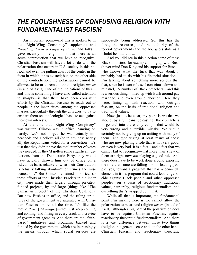# *THE FOOLISHNESS OF CONFUSING RELIGION WITH FUNDAMENTALIST FASCISM*

An important point—and this is spoken to in the "Right-Wing Conspiracy" supplement and *Preaching From a Pulpit of Bones* and talks I gave recently on religion $\frac{1}{x}$  is that there is an acute contradiction that we have to recognize: Christian Fascism will have a lot to do with the polarization that occurs in U.S. society in this period, and even the pulling apart of the center in the form in which it has existed; but, on the other side of the contradiction, the polarization cannot be allowed to be or to remain around religion *per se* (in and of itself). One of the indications of this and this is something I have also called attention to sharply—is that there have been consistent efforts by the Christian Fascists to reach out to people in the inner cities, among the oppressed masses, particularly through the churches, to try to ensnare them on an ideological basis to act against their own interests.

At the time that "Right-Wing Conspiracy" was written, Clinton was in office, hanging on barely. Let's not forget, he was actually impeached; and I believe all (or in any case nearly all) the Republicans voted for a conviction—it's just that they didn't have the total number of votes they needed. If they'd gotten some significant defections from the Democratic Party, they would have actually thrown him out of office on a ridiculous basis relative to what their Constitution is actually talking about—"high crimes and misdemeanors." But Clinton remained in office, so these efforts of the Christian Fascists in the inner city were made then largely through privately funded projects, by and large (things like "The Samaritan Project" of the Christian Coalition). But now Bush is in office, and the ruling structures of the government are saturated with Christian Fascists—more all the time. It's like the movie *Birds* [*BA laughs*]—they just keep coming and coming, and filling in every crack and crevice of government agencies. And there are the "faithbased" initiatives and programs, backed and funded by the government, which are increasingly the means through which social services are

supposedly being addressed. So, this has the force, the resources, and the authority of the federal government (and the bourgeois state as a whole) behind it now.

And you did see in this election some of these Black ministers, for example, lining up with Bush (never mind Don King and his support for Bush who knows what the fuck that was about, it probably had to do with his financial situation— I'm talking about something more serious than that, since he is sort of a self-conscious clown and minstrel). A number of Black preachers—and this is a serious thing—lined up with Bush around gay marriage, and even around abortion. Here they were, lining up with reaction, with outright fascism, on the basis of traditional religion and traditional values.

Now, just to be clear, my point is *not* that we should, by any means, be casting Black preachers in general into the enemy camp—that would be very wrong and a terrible mistake. We should certainly not be giving up on uniting with many of them—and repolarizing at least many of those who are now playing a role that is not very good, or even is very bad. It is a fact—and a fact that we cannot fail to recognize—that more than a few of them are right now *not* playing a good role. And there does have to be work done around exposing the role that some are falling into of leading people, yes, toward a program that has a genocidal element in it—a program that could lead to genocide against Black people and other oppressed peoples—on a basis of reactionary traditional values, patriarchy, religious fundamentalism, and everything that's wrapped up in that.

While all that is important, the fundamental point I'm making here is we cannot allow the polarization to be around religion *per se* (in and of itself), although a big part of the polarization does have to be against Christian Fascism, against reactionary theocratic fundamentalism. And there is a vast difference between those two things (religion in a general sense and, on the other hand, Christian Fascism and reactionary theocratic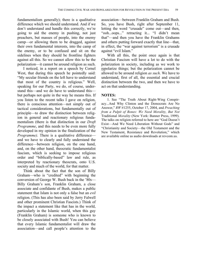fundamentalism generally); there is a qualitative difference which we should understand. And if we don't understand and handle this correctly, we're going to aid the enemy in pushing, not just preachers, but masses of people, into the enemy camp—or allowing them to be dragged, against their own fundamental interests, into the camp of the enemy, or to be confused and sit on the sidelines when they should be frontline fighters against all this. So we cannot allow this to be the polarization—it cannot be around religion as such.

I noticed, in a report on a speech by Cornel West, that during this speech he pointedly said: "My secular friends on the left have to understand that most of the country is religious." Well, speaking for our Party, we do, of course, understand this—and we do have to understand this but perhaps not quite in the way he means this. If you listen to the recent talks I gave on religion, there is conscious attention—not simply out of tactical considerations, but fundamentally out of principle—to draw the distinction between religion in general and reactionary religious fundamentalism (there is that distinction in our *Draft Programme*, and this needs to be even more fully developed in my opinion in the finalization of the *Programme*). There is a qualitative difference and we have to clearly and fully understand the difference—between religion, on the one hand, and, on the other hand, theocratic fundamentalist fascism, which is seeking to impose religious order and "biblically-based" law and rule, as interpreted by reactionary theocrats, onto U.S. society and much of the world, for that matter.

Think about the fact that the son of Billy Graham—who is "credited" with beginning the conversion of George W. Bush back in the '80s— Billy Graham's son, Franklin Graham, a close associate and confidante of Bush, makes a public statement that Islam is not only a false but an *evil* religion. (This has also been said by Jerry Falwell and other prominent Christian Fascists.) Think of the impact a statement like that has in the world, particularly in the Islamic world, when this guy (Franklin Graham) is someone who is known to be closely associated with Bush! You can believe that every Islamic fundamentalist will draw the association—and call people's attention to the

association—between Franklin Graham and Bush. So, you have Bush, right after September 11, letting the word "crusade" come out—and then, "ooh...oops..." retracting it... "I didn't mean that"—and then you have the Franklin Grahams and others putting forward exactly that line—that, in effect, the "war against terrorism" is a crusade against "evil Islam."

With all this, the point once again is that Christian Fascism will have a lot to do with the polarization in society, including as we work to repolarize things; but the polarization cannot be allowed to be around religion *as such*. We have to understand, first of all, the essential and crucial distinction between the two, and then we have to act on that understanding.

#### **NOTES:**

1. See "The Truth About Right-Wing Conspiracy...And Why Clinton and the Democrats Are No Answer," *RW* #1255, October 17, 2004, and *Preaching from a Pulpit of Bones: We Need Morality, But Not* Traditional *Morality* (New York: Banner Press, 1999). The talks on religion referred to here are "God Doesn't Exist—And We Need Liberation Without Gods" and "Christianity and Society—the Old Testament and the New Testament, Resistance and Revolution," which are available online as audio downloads at revcom.us.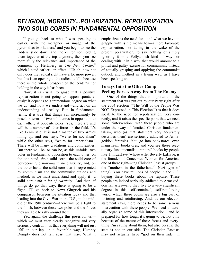## *RELIGION, MORALITY...POLARIZATION, REPOLARIZATION TWO SOLID CORES IN FUNDAMENTAL OPPOSITION*

If you go back to what I was speaking to earlier, with the metaphor, or image, of the pyramid as two ladders, $\frac{1}{2}$  and you begin to see the ladders slide down and the center not holding them together at the top anymore, then you see more fully the relevance and importance of the comment by Hertzberg in *The New Yorker,*<sup>2</sup> which I cited earlier—in effect: "Uh oh, now not only does the radical right have a lot more power, but this is an opening to the radical left"—because there is the whole prospect of the center's not holding in the way it has been.

Now, it is crucial to grasp that a positive repolarization is not going to happen spontaneously: it depends to a tremendous degree on what we do, and how we understand—and act on an understanding of—reality. But, in fundamental terms, it is true that things can increasingly be posed in terms of two solid cores in opposition to each other, at opposite poles. Yes, there are and will be a number of other forces in the field. It's like Lenin said: It is not a matter of two armies lining up, and one says, "we're for socialism" while the other says, "we're for imperialism." There will be many gradations and complexities. But there will be, or can be, as this unfolds, two poles in fundamental opposition to each other: on the one hand*, their* solid core—the solid core of bourgeois rule now—with no elasticity; and, on the other hand, the solid core that is represented by communism and the communist outlook and method, as we must understand and apply it—a solid core *with a lot of elasticity.* And then, if things do go that way, there is going to be a fight—I'll go back to Newt Gingrich and his comparison between the situation today and that leading into the Civil War in the U.S., in the middle of the 19th century<sup>3</sup> —there will be a fight to the finish, between those two poles and the forces they are able to rally around them.

Yet, again, the challenge this poses for us which we must very clearly recognize and very seriously confront—is that everything will not just "fall in our lap" in a favorable way, Humpty Dumpty does not fall apart that way. What it emphasizes is the need for—and what we have to grapple with is the means for—a more favorable *re*polarization, not tailing in the wake of the present polarization, to say nothing of simply ignoring it in a Pollyannish kind of way—or dealing with it in a way that would amount to a pitiful and paltry excuse for communism, instead of actually grasping and applying the communist outlook and method in a living way, as I have been speaking to.

### **Forays Into the Other Camp— Peeling Forces Away From The Enemy**

One of the things that is important in the statement that was put out by our Party right after the 2004 election ("The Will of the People Was NOT Expressed in This Election"<sup>4</sup>) is that it does speak to the need for repolarization, very correctly, and it raises the specific point that we need some "intervention" with these people who are under the sway of fanatical Christian fundamentalism, who (as that statement very accurately describes them) are seriously addicted to Armageddon fantasies. You go into bookstores, even mainstream bookstores, and you see these reactionary fundamentalist "rapture" books by people like Tim LaHaye (whose wife, Beverly LaHaye, is the founder of Concerned Women for America, one of these right-wing Christian Fascist groups the "mothers in the fatherland"5 Nazi type of thing). You have millions of people in the U.S. buying these books about the rapture. These people are indeed seriously addicted to Armageddon fantasies—and they live to a very significant degree in this self-contained, self-reinforcing world, which these books are also a big part of fostering and reinforcing. And, as our election statement says, there needs to be some serious intervention with these people. We need to actually organize some of this intervention—and be prepared for how tough it's going to be, not only because of the nature of these forces and everything I'm saying about them, but also because the state is not on our side. The Christian Fascists may not actually have "god on their side" in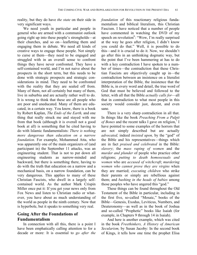reality, but they do have *the state* on their side in very significant ways.

We need youth in particular and people in general who are armed with a communist outlook going right up into these people's strongholds—at their churches, and so on—leafletting them and engaging them in debate. We need all kinds of creative ways to engage these people. Not simply to curse at them—they need to be engaged and struggled with in an overall sense to confront things they have never confronted. They have a self-contained world, and I'm not naive about the prospects in the short term, but this needs to be done with strategic prospects and strategic considerations in mind. They need to be confronted with the reality that they are sealed off from. Many of them, not all certainly but many of them, live in suburbia and are actually rather well to do. It is wrong to think that these are all people who are poor and uneducated. Many of them are educated, in a certain way. You know, there is a book by Robert Kaplan, *The Ends of the Earth,* and one thing that really struck me and stayed with me from that book (although it is overall not a good book at all) is something that he cited having to do with Islamic fundamentalists: *There is nothing more dangerous than education on a narrow foundation.* For example, Mohammed Atta, who was apparently one of the main organizers of (and participant in) the September 11 attacks, was an engineering student. That is not to put down all engineering students as narrow-minded and backward, but there is something there, having to do with the truth that education on a narrow and a mechanical basis, on a narrow foundation, can be very dangerous. This applies to many of these Christian Fascists, who dwell in a largely selfcontained world. As the author Mark Crispin Miller once put it: If you get your news only from Fox News and listen to Christian radio or whatever, you have about as much understanding of the world as people in the ninth century. Now that is hyperbole, but it speaks to something very real.

### **Going After the Foundations of Fundamentalism**

In connection with all this, there is a point I have been emphatically calling attention to for a decade or more: It is essential to *go after the* *foundation* of this reactionary religious fundamentalism and biblical literalism, this Christian Fascism. I have noticed that a number of people have commented in watching the DVD of my speech on revolution<sup>6</sup>: "Wow, I'm really surprised at the way he goes after religion, I didn't know you could do that." Well, it is possible to do this—and it is crucial to do it. Now, we shouldn't go after this in an unthinking dogmatic way, but the point that I've been hammering at has to do with a key contradiction I have spoken to a number of times—the contradiction that these Christian Fascists are objectively caught up in—the contradiction between an insistence on a literalist interpretation of the Bible, the insistence that the Bible is, in every word and detail, the true word of God that must be believed and followed to the letter, with all that the Bible *actually calls for*—all that in contradiction to what most people in this society would consider just, decent, and even sane.

There is a very sharp contradiction in all that. In things like the book *Preaching From a Pulpit of Bones* and the recent talks I gave on religion,<sup>1</sup> I have pointed to some examples of the horrors that are not simply described but are actually *advocated,* indeed *insisted upon,* by the "god" of the Bible and his representatives—things which are in fact *praised and celebrated* in the Bible: *slavery*; the *mass raping of women* and the *murder and plunder* of people who practice other religions; *putting to death homosexuals and women* who are *accused of witchcraft*; *murdering women who cannot prove they are virgins* when they are married; *executing children* who strike their parents or simply are rebellious against them; and *bashing in the heads of babies* among those peoples who have angered this "god."

These things can be found throughout the Old Testament of the Bible in particular, including in the first five, so-called "Mosaic," books of the Bible—Genesis, Exodus, Leviticus, Numbers, and Deuteronomy—as well as in the book of Joshua and so-called "Prophetic" books like Isaiah (for example, in Chapters 9 through 14 in Isaiah).

And here is another example, which was cited in the book *Freethinkers, A History of American Secularism,* by Susan Jacoby: In the second book of Kings, it tells how one time the prophet Elisa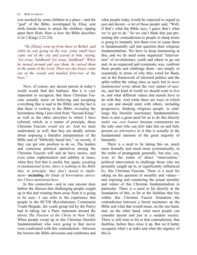was mocked by some children in a place—and the "god" of the Bible, worshipped by Elisa, sent forth female bears to attack the children, ripping apart their flesh. Here is how the Bible describes it (in 2 Kings 2:23-24):

*"He [Elisa] went up from there to Bethel, and while he was going on the way, some small boys came out of the city and jeered at him, saying, 'Go away, baldhead! Go away, baldhead!' When he turned around and saw them, he cursed them in the name of the Lord. Then two she-bears came out of the woods and mauled forty-two of the boys."*

Now, of course, any decent person in today's world would find this barbaric. But it is very important to recognize that these Christian Fascists actually insist on believing and accepting everything that is said in the Bible; and the fact is that there is *nothing* in the Bible, *including* the horrendous thing I just cited from "Second Kings" as well as the other atrocities to which I have referred, which, as a matter of principle, these Christian Fascists *would not do.* And we must understand, as well, that they are deadly serious about imposing a literalist interpretation of the Bible and of "biblically based law," on society, if they can get into position to do so. The leaders and conscious political operatives among the Christian Fascists will and do have tactics, and even some sophistication and subtlety at times, when they feel that is useful; but, again, *speaking in fundamental terms, there is nothing in the Bible that, in principle, they don't intend to implement—including the kinds of horrendous atrocities I have mentioned here.*

In this connection—and in case anyone does harbor the illusion that challenging people caught up in this and winning them away from it is going to be easy—I can refer to the experience that people in the RCYB (Revolutionary Communist Youth Brigade, the youth group led by the Party) had in taking out a Party statement around the movie *The Passion of the Christ* in New York: When people swept up in this Christian literalist fundamentalism who were going to that movie were confronted with this contradiction—between the horrors the Bible advocates and celebrates and what people today would be expected to regard as just and decent—a lot of those people said, "Well, if that's what the Bible says, I guess that's what we've got to do." So we can't think that just presenting this contradiction to people in sharp terms is going to instantly win them over or cause them to fundamentally call into question their religious fundamentalism. We have to keep hammering at this, and we do need some organized "intervention" of revolutionary youth and others to go out and, in an organized and systematic way, confront these people and challenge them—not simply or essentially in terms of why they voted for Bush, not in the framework of electoral politics and the splits within the ruling class as such, but *in more fundamental terms* about the very nature of society, and the kind of world we should want to live in, and what different values and morals have to do with that. And while there are ways in which we can and should unite with others, including progressive, thinking religious people, to challenge this literalist reactionary fundamentalism, there is also a great need for us to do this directly *under our own banner* because communists are the only ones who can *fully* take this on and fully present *an alternative* to it that is actually in the fundamental interests of the great majority of humanity.

There is a need to be taking this on, much more frontally and much more systematically, in the realm of propaganda generally, but also, yes, even in the realm of direct "intervention," political intervention to challenge those who are presently caught up in, or significantly influenced by, this Christian Fascism. There is a need for taking on the question of morality and values and exposing and countering the actual morality and values of this Christian fundamentalism in particular. There is a need to hit directly at the foundation of this, to hit at the faultline that lies within this Christian Fascist formation—the contradiction between a literal insistence on the Bible and what that would mean, on the one hand, and, on the other hand, what most people can consider decent and just in a modern society. There is still time to hit at that contradiction, that faultline, before they close it up. But we'd better recognize what's at stake and what the urgency of this is.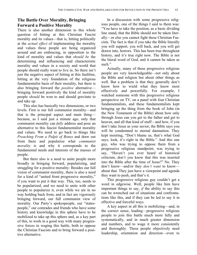## **The Battle Over Morality, Bringing Forward a Positive Morality**

There is also another dimension to this whole question of hitting at this Christian Fascist morality and its values—that is, hitting politically at the *actual effect* of implementing the morality and values these people are being organized around and are embracing, in opposition to the kind of morality and values that *should be* the determining and influencing and characteristic morality and values in a society and world that people should really want to live in. So there isn't just the negative aspect of hitting at this faultline, hitting at the very foundation of the religious fundamentalist basis of their morality, but there is also bringing forward the *positive* alternative bringing forward positively the kind of morality people *should* be won to and should gravitate to and take up.

This also has basically two dimensions, or two levels. First is our full communist morality—and that is the principal aspect and main thing because, as I said just a minute ago, only that communist morality can *fully* address and pose an alternative to this fascist fundamentalist morality and values. We need to go back to things like *Preaching From a Pulpit of Bones* and draw out from there and popularize what *communist morality* is and why it corresponds to the fundamental needs and interests of the masses of people.

But there also is a need to unite people more broadly in bringing forward, popularizing, and struggling for a positive morality: Besides our full vision of communist morality, there is also a need for a kind of "united front progressive morality," if you want to put it that way. This, too, needs to be popularized, and we need to unite with other people to popularize it, even while we are in no way holding back from, and in fact are vigorously bringing forward, our full communist view of morality. Our Party's spokespeople, our "statespeople," our comrades and friends who have some history and knowledge in this sphere have to be mobilized to take up this sphere and, as a key part of this, to work in a good way with many progressive forces in waging this battle, both to oppose the Christian Fascists and to bring forward a positive alternative.

In a discussion with some progressive religious people, one of the things I said to them was: "You have to take the position, as a basic dividing line stand, that the Bible should not be taken literally—or else you cannot fight these Christian Fascists. The fact is that if you take the Bible literally you will support, you will back, and you will get drawn into, horrors. This has been true throughout history, and it's true right now. The Bible is not the literal word of God, and it cannot be taken as such."

Actually, many of these progressive religious people are very knowledgeable—not only about the Bible and religion but about other things as well. But a problem is that they generally don't know how to wield what they know most effectively and powerfully. For example, I watched someone with this progressive religious perspective on TV, on a panel with four Christian fundamentalists, and these fundamentalists kept bringing up the thing from the book of John (in the New Testament of the Bible) about how only through Jesus can you get to the father and get to heaven, and all that kind of stuff—and how, if you don't take Jesus as your savior, the Bible says you will be condemned to eternal damnation. They kept insisting, "Don't blame us, that's what God says, look, it's right in the Bible." And this one guy, who was trying to oppose them from a progressive religious standpoint, was trying to say, "Haven't you ever heard of historical criticism, don't you know that this was inserted into the Bible after the time of Jesus?" No. They don't know—and/or they *don't want* to know about that. They just have a viewpoint and agenda they want to push, and that's it.

This progressive religious guy couldn't get a word in edgewise. Well, people like him have important things to say, *if* the ability to say this can be wrenched out of situations and confrontations like this, and if they can be led to say it in effective and forceful ways.

A key aspect in all this is mobilizing—and, in the correct sense, leading—progressive religious people to join this battle much more fully and systematically, and in much greater dimension and numbers, and to wage it more consistently and thoroughly. These people objectively need leadership, orientation and direction—even to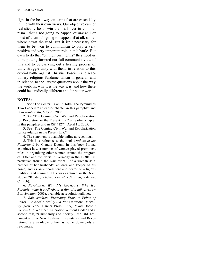fight in the best way on terms that are essentially in line with their own views. Our objective cannot realistically be to win them all over to communism—that's not going to happen *en masse.* For most of them it's going to happen, if at all, somewhere down the road. But it isn't necessary for them to be won to communism to play a very positive and very important role in this battle. But even to do that "on their own terms" they need us to be putting forward our full communist view of this and to be carrying out a healthy process of unity-struggle-unity with them, in relation to this crucial battle against Christian Fascism and reactionary religious fundamentalism in general, and in relation to the largest questions about the way the world is, why it is the way it is, and how there could be a radically different and far better world.

### **NOTES:**

1. See "The Center—Can It Hold? The Pyramid as Two Ladders," an earlier chapter in this pamphlet and in *Revolution* #4, May 29, 2005.

2. See "The Coming Civil War and Repolarization for Revolution in the Present Era," an earlier chapter in this pamphlet and in *RW* #1274, April 10, 2005.

3. See "The Coming Civil War and Repolarization for Revolution in the Present Era."

4. The statement is available online at revcom.us.

5. This is a reference to the book *Mothers in the Fatherland,* by Claudia Koonz. In this book Koonz examines how a number of women played prominent roles in organizing other women around the program of Hitler and the Nazis in Germany in the 1930s—in particular around the Nazi "ideal" of a woman as a breeder of her husband's children and keeper of his home, and as an embodiment and bearer of religious tradition and training. This was captured in the Nazi slogan "Kinder, Küche, Kirche" (Children, Kitchen, Church).

6. *Revolution: Why It's Necessary, Why It's Possible, What It's All About, a film of a talk given by Bob Avakian* (2003), available at revolutiontalk.net.

7. *Bob Avakian, Preaching From a Pulpit of Bones: We Need Morality But Not* Traditional *Morality* (New York: Banner Press, 1999); "God Doesn't Exist—And We Need Liberation Without Gods" and a second talk, "Christianity and Society—the Old Testament and the New Testament, Resistance and Revolution," are available online as audio downloads at revcom.us.